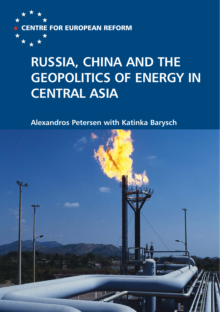

## **RUSSIA, CHINA AND THE GEOPOLITICS OF ENERGY IN CENTRAL ASIA**

**Alexandros Petersen with Katinka Barysch**

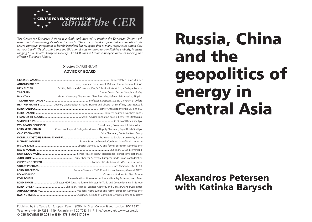

*The Centre for European Reform is a think-tank devoted to making the European Union work better and strengthening its role in the world. The CER is pro-European but not uncritical. We regard European integration as largely beneficial but recognise that in many respects the Union does not work well. We also think that the EU should take on more responsibilities globally, in issues ranging from climate change to security. The CER aims to promote an open, outward-looking and effective European Union.*

#### **Director:** CHARLES GRANT **ADVISORY BOARD**

| NICK BUTLER  Visiting Fellow and Chairman, King's Policy Institute at King's College, London         |
|------------------------------------------------------------------------------------------------------|
|                                                                                                      |
|                                                                                                      |
|                                                                                                      |
| HEATHER GRABBE  Director, Open Society Institute, Brussels and Director of EU affairs, Soros Network |
|                                                                                                      |
|                                                                                                      |
|                                                                                                      |
|                                                                                                      |
|                                                                                                      |
| LORD KERR (CHAIR)  Chairman, Imperial College London and Deputy Chairman, Royal Dutch Shell plc      |
|                                                                                                      |
|                                                                                                      |
|                                                                                                      |
|                                                                                                      |
|                                                                                                      |
|                                                                                                      |
|                                                                                                      |
|                                                                                                      |
|                                                                                                      |
|                                                                                                      |
|                                                                                                      |
|                                                                                                      |
| LORD SIMON  Director, GDF Suez and former Minister for Trade and Competitiveness in Europe           |
|                                                                                                      |
|                                                                                                      |
|                                                                                                      |

# Russia, China and the geopolitics of energy in Central Asia

### Alexandros Petersen with Katinka Barysch

Published by the Centre for European Reform (CER), 14 Great College Street, London, SW1P 3RX Telephone +44 20 7233 1199, Facsimile +44 20 7233 1117, info@cer.org.uk, www.cer.org.uk **© CER NOVEMBER 2011** ★ **ISBN 978 1 907617 01 0**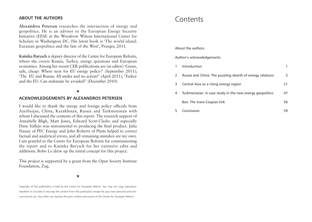#### **ABOUT THE AUTHORS**

**Alexandros Petersen** researches the intersection of energy and geopolitics. He is an advisor to the European Energy Security Initiative (EESI) at the Woodrow Wilson International Center for Scholars in Washington DC. His latest book is 'The world island: Eurasian geopolitics and the fate of the West', Praeger, 2011.

**Katinka Barysch** is deputy director of the Centre for European Reform, where she covers Russia, Turkey, energy questions and European economics. Among her recent CER publications are (as editor) 'Green, safe, cheap: Where next for EU energy policy?' (September 2011); 'The EU and Russia: All smiles and no action?' (April 2011); 'Turkey and the EU: Can stalemate be avoided?' (December 2010).

#### ★

#### **ACKNOWLEDGEMENTS BY ALEXANDROS PETERSEN**

I would like to thank the energy and foreign policy officials from Azerbaijan, China, Kazakhstan, Russia and Turkmenistan with whom I discussed the contents of this report. The research support of Annabelle Bligh, Matt Jones, Edward Scott-Clarke and especially Dane Vallejo was instrumental to producing the final product. Julia Nanay of PFC Energy and John Roberts of Platts helped to correct factual and analytical errors, and all remaining mistakes are my own. I am grateful to the Centre for European Reform for commissioning the report and to Katinka Barysch for her extensive edits and additions. Bobo Lo drew up the initial concept for this project.

This project is supported by a grant from the Open Society Institute Foundation, Zug.

★

Copyright of this publication is held by the Centre for European Reform. You may not copy, reproduce, republish or circulate in any way the content from this publication except for your own personal and noncommercial use. Any other use requires the prior written permission of the Centre for European Reform.

### Contents

#### About the authors

#### Author's acknowledgements

|   | Introduction                                              |    |
|---|-----------------------------------------------------------|----|
| 2 | Russia and China: The puzzling dearth of energy relations | 5. |
| 3 | Central Asia as a rising energy region                    | 21 |
| 4 | Turkmenistan: A case study in the new energy geopolitics  | 47 |
|   | Box: The trans-Caspian link                               | 56 |
|   | Conclusion                                                | 59 |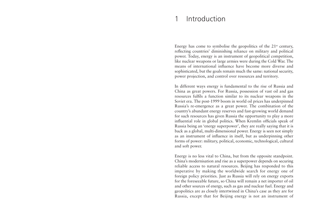### 1 Introduction

Energy has come to symbolise the geopolitics of the  $21<sup>st</sup>$  century, reflecting countries' diminishing reliance on military and political power. Today, energy is an instrument of geopolitical competition, like nuclear weapons or large armies were during the Cold War. The means of international influence have become more diverse and sophisticated, but the goals remain much the same: national security, power projection, and control over resources and territory.

In different ways energy is fundamental to the rise of Russia and China as great powers. For Russia, possession of vast oil and gas resources fulfils a function similar to its nuclear weapons in the Soviet era. The post-1999 boom in world oil prices has underpinned Russia's re-emergence as a great power. The combination of the country's abundant energy reserves and fast-growing world demand for such resources has given Russia the opportunity to play a more influential role in global politics. When Kremlin officials speak of Russia being an 'energy superpower', they are really saying that it is back as a global, multi-dimensional power. Energy is seen not simply as an instrument of influence in itself, but as underpinning other forms of power: military, political, economic, technological, cultural and soft power.

Energy is no less vital to China, but from the opposite standpoint. China's modernisation and rise as a superpower depends on securing reliable access to natural resources. Beijing has responded to this imperative by making the worldwide search for energy one of foreign policy priorities. Just as Russia will rely on energy exports for the foreseeable future, so China will remain a net importer of oil and other sources of energy, such as gas and nuclear fuel. Energy and geopolitics are as closely intertwined in China's case as they are for Russia, except that for Beijing energy is not an instrument of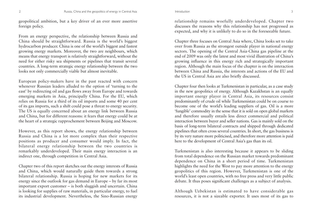#### geopolitical ambition, but a key driver of an ever more assertive foreign policy.

From an energy perspective, the relationship between Russia and China should be straightforward. Russia is the world's biggest hydrocarbon producer. China is one of the world's biggest and fastest growing energy markets. Moreover, the two are neighbours, which means that energy transport is relatively straightforward, without the need for either risky sea shipments or pipelines that transit several countries. A long-term strategic energy relationship between the two looks not only commercially viable but almost inevitable.

European policy-makers have in the past reacted with concern whenever Russian leaders alluded to the option of 'turning to the east' by redirecting oil and gas flows away from Europe and towards emerging markets in Asia, principally China. For the EU, which relies on Russia for a third of its oil imports and some 40 per cent of its gas imports, such a shift could pose a threat to energy security. The US is equally concerned about an energy link between Russia and China, but for different reasons: it fears that energy could be at the heart of a strategic rapprochement between Beijing and Moscow.

However, as this report shows, the energy relationship between Russia and China is a lot more complex than their respective positions as producer and consumer would imply. In fact, the bilateral energy relationship between the two countries is remarkably underdeveloped. Their main energy interaction is an indirect one, through competition in Central Asia.

Chapter two of this report sketches out the energy interests of Russia and China, which would naturally guide them towards a strong bilateral relationship. Russia is hoping for new markets for its energy since the outlook for gas demand in Europe – by far its most important export customer – is both sluggish and uncertain. China is looking for supplies of raw materials, in particular energy, to fuel its industrial development. Nevertheless, the Sino-Russian energy

relationship remains woefully underdeveloped. Chapter two discusses the reasons why this relationship has not progressed as expected, and why it is unlikely to do so in the foreseeable future.

Chapter three focuses on Central Asia where, China looks set to take over from Russia as the strongest outside player in national energy sectors. The opening of the Central Asia-China gas pipeline at the end of 2009 was only the latest and most vivid illustration of China's growing influence in this energy rich and strategically important region. Although the main focus of the chapter is on the interaction between China and Russia, the interests and actions of the EU and the US in Central Asia are also briefly discussed.

Chapter four then looks at Turkmenistan in particular, as a case study in the new geopolitics of energy. Although Kazakhstan is an equally important energy player in Central Asia, its resources consist predominantly of crude oil while Turkmenistan could be on course to become one of the world's leading suppliers of gas. Oil is a more 'fungible' commodity in the sense that it is sold on open global markets and therefore usually entails less direct commercial and political interaction between buyer and seller nations. Gas is mainly sold on the basis of long-term bilateral contracts and shipped through dedicated pipelines that often cross several countries. In short, the gas business is by its very nature more politicised, and therefore more attention is paid here to the development of Central Asia's gas than its oil.

Turkmenistan is also interesting because it appears to be sliding from total dependence on the Russian market towards predominant dependence on China in a short period of time. Turkmenistan highlights the need for the West to pay more attention to the energy geopolitics of this region. However, Turkmenistan is one of the world's least open countries, with no free press and very little public debate. It thus poses significant challenges as a subject of analysis.

Although Uzbekistan is estimated to have considerable gas resources, it is not a sizeable exporter. It uses most of its gas to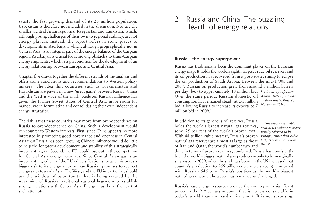satisfy the fast growing demand of its 28 million population. Uzbekistan is therefore not included in the discussion. Nor are the smaller Central Asian republics, Kyrgyzstan and Tajikistan, which, although posing challenges of their own to regional stability, are not energy players. Instead, the report refers in some places to developments in Azerbaijan, which, although geographically not in Central Asia, is an integral part of the energy balance of the Caspian region. Azerbaijan is crucial for removing obstacles to trans-Caspian energy shipments, which is a precondition for the development of an energy relationship between Europe and Central Asia.

Chapter five draws together the different strands of the analysis and offers some conclusions and recommendations to Western policymakers. The idea that countries such as Turkmenistan and Kazakhstan are pawns in a new 'great game' between Russia, China and the West is wide of the mark. Reduced Russian influence has given the former Soviet states of Central Asia more room for manoeuvre in formulating and consolidating their own independent energy strategies.

The risk is that these countries may move from over-dependence on Russia to over-dependence on China. Such a development would run counter to Western interests. First, since China appears no more interested in promoting good governance and openness in Central Asia than Russia has been, growing Chinese influence would do little to help the long-term development and stability of this strategically important region. Second, the EU would lose out in the competition for Central Asia energy resources. Since Central Asian gas is an important ingredient of the EU's diversification strategy, this poses a bigger risk to its energy security than Russian promises to redirect energy sales towards Asia. The West, and the EU in particular, should use the window of opportunity that is being created by the weakening of Russia's traditional regional hegemony to establish stronger relations with Central Asia. Energy must be at the heart of such attempts.

### 2 Russia and China: The puzzling dearth of energy relations

#### **Russia – the energy superpower**

Russia has traditionally been the dominant player on the Eurasian energy map. It holds the world's eighth largest crude oil reserves, and its oil production has recovered from a post-Soviet slump to eclipse the oil production of Saudi Arabia. Between the mid-1990s and 2009, Russian oil production grew from around 3 million barrels per day (b/d) to approximately 10 million b/d. *1 US Energy Information* Over the same period, Russian domestic oil *Administration, 'Country* consumption has remained steady at 2-3 million b/d, allowing Russia to increase its exports to 7 million  $h/d$  in 2009.<sup>1</sup> *analysis briefs, Russia', November 2010.* 

In addition to its generous oil reserves, Russia holds the world's largest natural gas reserves, some 25 per cent of the world's proven total. With 48 trillion cubic metres<sup>2</sup>, Russia's proven natural gas reserves are almost as large as those of Iran and Qatar, the world's number two and

*2 This report uses cubic metres, the volume measure usually referred to in Europe, rather than cubic feet, as is more common in the US.* 

three in terms of proven reserves, combined. Russia has consistently been the world's biggest natural gas producer – only to be marginally surpassed in 2009, when the shale gas boom in the US increased that country's production to 566 billion cubic meters (bcm), compared with Russia's 546 bcm. Russia's position as the world's biggest natural gas exporter, however, has remained unchallenged.

Russia's vast energy resources provide the country with significant power in the  $21^{st}$  century – power that is no less considerable in today's world than the hard military sort. It is not surprising,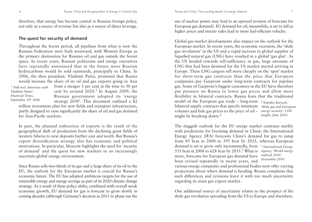therefore, that energy has become central to Russian foreign policy, not only as a source of revenue but also as a source of direct leverage.

#### **The quest for security of demand**

Throughout the Soviet period, all pipelines from what is now the Russian Federation were built westward, with Western Europe as the primary destination for Russian oil and gas outside the Soviet space. In recent years, Russian politicians and energy executives have repeatedly announced that in the future more Russian hydrocarbons would be sold eastwards, principally to China. In 2006, the then president, Vladimir Putin, promised that Russia would increase the share of its oil and gas exports going to Asia from a meagre 3 per cent at the time to 30 per cent by around  $2020<sup>3</sup>$  In August 2009, the Russian government adopted its 'energy strategy 2030'. This document outlined a \$2 trillion investment plan for new fields and transport infrastructure, *3 'Full text: Interview with Vladimir Putin', Financial Times, September 10th 2006.* 

partly designed to raise significantly the share of oil and gas destined for Asia-Pacific markets.

In part, the planned redirection of exports is the result of the geographical shift of production from the declining giant fields of western Siberia to new deposits further east and north. But Russia's export diversification strategy also has economic and political motivations. In particular, Moscow highlights the need for 'security of demand' and the quest for new markets in an increasingly uncertain global energy environment.

Since Russia sells two-thirds of its gas and a large share of its oil to the EU, the outlook for the European market is crucial for Russia's economic future. The EU has adopted ambitious targets for the use of renewable energy and energy savings as part of its 2020 climate change strategy. As a result of these policy shifts, combined with overall weak economic growth, EU demand for gas is forecast to grow slowly in coming decades (although Germany's decision in 2011 to phase out the

use of nuclear power may lead to an upward revision of forecasts for European gas demand). EU demand for oil, meanwhile, is set to fall as higher prices and stricter rules lead to more fuel-efficient vehicles.

Global gas market developments also impact on the outlook for the European market. In recent years, the economic recession, the 'shale gas revolution' in the US and a rapid increase in global supplies of liquefied natural gas (LNG) have resulted in a global 'gas glut'. As the US headed towards self-sufficiency in gas, large amounts of LNG that had been destined for the US market started arriving in Europe. These LNG cargoes sell more cheaply on the 'spot' market for short-term gas contracts than the price that European companies pay Gazprom under long-term contracts for pipeline gas. Some of Gazprom's biggest customers in the EU have therefore put pressure on Russia to lower gas prices and allow more flexibility in bilateral contracts. Russia fears that the traditional model of the European gas trade – long-term *<sup>4</sup> Katinka Barysch,*  bilateral supply contracts that specify minimum *'Shale gas and European* volumes and link gas prices to the price of oil – *energy security', CER* might be breaking down.<sup>4</sup> *insight, June 2010.*

The sluggish outlook for the EU energy market contrasts starkly with predictions for booming demand in China: the International Energy Agency (IEA) forecasts China's demand for gas to jump from 85 bcm in 2008 to 395 bcm by 2035, whereas European demand is set to grow only incrementally, from *<sup>5</sup> International Energy* 555 bcm in 2008 to 628 bcm by 2035.5 What is *Agency, 'World energy*  more, forecasts for European gas demand have *outlook 2010',*  been revised repeatedly in recent years, and *November 2010.* 

various energy companies and professional bodies now offer varying projections about where demand is heading. Russia complains that such differences and revisions leave it with too much uncertainty regarding its main gas export market.

One additional source of uncertainty relates to the prospect of the shale gas revolution spreading from the US to Europe and elsewhere.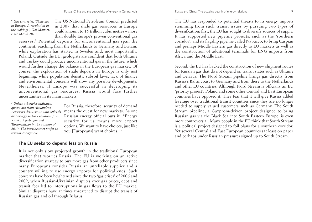*<sup>6</sup> Gas strategies, 'Shale gas in Europe: A revolution in the making?', Gas Matters, issue March 2010.*

The US National Petroleum Council predicted in 2007 that shale gas resources in Europe could amount to 15 trillion cubic metres – more than double Europe's proven conventional gas

reserves.<sup>6</sup> Potential deposits for unconventional gas span the continent, reaching from the Netherlands to Germany and Britain, while exploration has started in Sweden and, most importantly, Poland. Outside the EU, geologists are confident that both Ukraine and Turkey could produce unconventional gas in the future, which would further change the balance in the European gas market. Of course, the exploration of shale deposits in Europe is only just beginning, while population density, subsoil laws, lack of finance and environmental concerns will slow any possible developments. Nevertheless, if Europe was successful in developing its unconventional gas resources, Russia would face further uncertainties in its main markets.

*<sup>7</sup> Unless otherwise indicated, quotes are from Alexandros Petersen's discussions with officials and energy sector executives from Russia, Azerbaijan and Turkmenistan in the autumn of 2010. The interlocutors prefer to remain anonymous.*

For Russia, therefore, security of demand means the quest for new markets. As one Russian energy official puts it: "Energy security for us means more export options. We want to have choices, just like you [Europeans] want choices."7

#### **The EU seeks to depend less on Russia**

It is not only slow projected growth in the traditional European market that worries Russia. The EU is working on an active diversification strategy to buy more gas from other producers since many Europeans consider Russia an unreliable supplier and a country willing to use energy exports for political ends. Such concerns have been heightened since the two 'gas crises' of 2006 and 2009, when Russian-Ukrainian disputes over gas prices, debt and transit fees led to interruptions in gas flows to the EU market. Similar disputes have at times threatened to disrupt the transit of Russian gas and oil through Belarus.

The EU has responded to potential threats to its energy imports stemming from such transit issues by pursuing two types of diversification: first, the EU has sought to diversify sources of supply. It has supported new pipeline projects, such as the 'southern corridor', and its flagship pipeline called Nabucco, to bring Caspian and perhaps Middle Eastern gas directly to EU markets as well as the construction of additional terminals for LNG imports from Africa and the Middle East.

Second, the EU has backed the construction of new shipment routes for Russian gas that do not depend on transit states such as Ukraine and Belarus. The Nord Stream pipeline brings gas directly from Russia's Baltic coast to Germany and from there to the Netherlands and other EU countries. Although Nord Stream is officially an EU 'priority project', Poland and some other Central and East European countries have opposed it. They fear that it will give Russia added leverage over traditional transit countries since they are no longer needed to supply valued customers such as Germany. The South Stream pipeline, a Gazprom-driven project designed to bring Russian gas via the Black Sea into South Eastern Europe, is even more controversial. Many people in the EU think that South Stream is a political project designed to foil plans for a southern corridor. Yet several Central and East European countries (at least on paper and perhaps under Russian pressure) signed up to South Stream.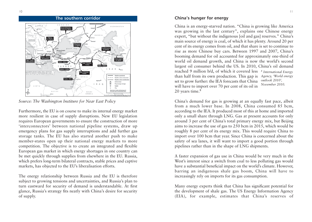

### **The southern corridor China's hunger for energy** SLOVAKIA . . . . . . . . . . OMANIA **II D V F** LNG terminal IRAO Proposed gas sto EGVPT SAUDI<br>ARABIA

*Source: The Washington Institure for Near East Policy*

Furthermore, the EU is on course to make its internal energy market more resilient in case of supply disruptions. New EU legislation requires European governments to ensure the construction of more 'interconnectors' between national pipeline systems, draw up emergency plans for gas supply interruptions and add further gas storage tanks. The EU has also started another push to make member-states open up their national energy markets to more competition. The objective is to create an integrated and flexible European gas market in which energy shortages in one country can be met quickly through supplies from elsewhere in the EU. Russia, which prefers long-term bilateral contracts, stable prices and captive markets, has objected to the EU's liberalisation efforts.

The energy relationship between Russia and the EU is therefore subject to growing tensions and uncertainties, and Russia's plan to turn eastward for security of demand is understandable. At first glance, Russia's strategy fits neatly with China's desire for security of supply.

China is an energy-starved nation. "China is growing like America was growing in the last century", explains one Chinese energy expert, "but without the indigenous [oil and gas] reserves." China's main source of energy is coal, of which it has plenty. Around 20 per cent of its energy comes from oil, and that share is set to continue to rise as more Chinese buy cars. Between 1997 and 2007, China's booming demand for oil accounted for approximately one-third of world oil demand growth, and China is now the world's second largest oil consumer behind the US. In 2010, China's oil demand reached 9 million b/d, of which it covered less *<sup>8</sup> International Energy* than half from its own production. This gap is set to grow further: the IEA forecasts that China will have to import over 70 per cent of its oil in 20 years time.<sup>8</sup> *Agency, 'World energy outlook 2010', November 2010.*

China's demand for gas is growing at an equally fast pace, albeit from a much lower base. In 2008, China consumed 85 bcm, according to the IEA. It produced most of this at home and imported only a small share through LNG. Gas at present accounts for only around 3 per cent of China's total primary energy mix, but Beijing aims to increase the use of gas to 250 bcm in 2015, which would be roughly 8 per cent of its energy mix. This would require China to import over 100 bcm that year. Since China is concerned about the safety of sea lanes, it will want to import a good portion through pipelines rather than in the shape of LNG shipments.

A faster expansion of gas use in China would be very much in the West's interest since a switch from coal to less polluting gas would have a substantial beneficial impact on the world's climate. However, barring an indigenous shale gas boom, China will have to increasingly rely on imports for its gas consumption.

Many energy experts think that China has significant potential for the development of shale gas. The US Energy Information Agency (EIA), for example, estimates that China's reserves of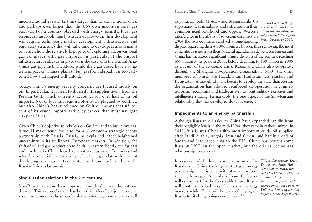unconventional gas are 12 times larger than its conventional ones, and perhaps even larger than the US's own unconventional gas reserves. For a country obsessed with energy security, local gas resources must look hugely attractive. However, their development will require technology, market development, infrastructure and regulatory structures that will take time to develop. It also remains to be seen how the relatively high price of exploiting unconventional gas compares with gas imports, in particular if the import infrastructure is already in place (as is the case with the Central Asia-China gas pipeline). Therefore, while shale gas could have a longterm impact on China's plans to buy gas from abroad, it is too early to tell how that impact will unfold.

Today, China's energy security concerns are focused mostly on oil. In particular, it is keen to diversify its supplies away from the Persian Gulf, which currently accounts for over half of its oil imports. Not only is this region notoriously plagued by conflict, but also China's heavy reliance on Gulf oil means that 85 per cent of its crude imports arrive by tanker that must navigate risky sea lanes.

Given China's objective to rely less on Gulf oil and to buy more gas, it would make sense for it to form a long-term strategic energy partnership with Russia. Russia, as explained, faces heightened uncertainty in its traditional European markets. In addition, the shift of oil and gas production to fields in eastern Siberia, the far east and north make China look like a natural customer. To understand why this potentially mutually beneficial energy relationship is not developing, one has to take a step back and look at the wider Russia-China relationship.

#### **Sino-Russian relations in the 21st century**

Sino-Russian relations have improved considerably over the last two decades. This rapprochement has been driven less by a joint strategic vision or common values than by shared interests, commercial as well

as political.9 Both Moscow and Beijing dislike US supremacy, fear instability and extremism in their common neighbourhood and oppose Western interference in the affairs of sovereign countries. In 2004 the two countries resolved a long-standing

*<sup>9</sup> Bobo Lo, 'Ten things everyone should know about the Sino-Russian relationship', CER policy brief, December 2008.*

dispute regarding their 4,300-kilometre border, thus removing the most contentious issue from their bilateral agenda. Trade between Russia and China has increased significantly since the turn of the century, reaching \$59 billion at its peak in 2008, before declining to \$39 billion in 2009 as a result of the economic crisis. Russia and China also co-operate through the Shanghai Co-operation Organisation (SCO), the other members of which are Kazakhstan, Tajikistan, Uzbekistan and Kyrgyzstan. Although China is keener to develop the SCO than Russia, the organisation has allowed reinforced co-operation in counterterrorism, economics and trade, as well as joint military exercises and intelligence sharing. Remarkably, the one aspect of the Sino-Russian relationship that has developed slowly is energy.

#### **Impediments to an energy partnership**

Although Russian oil sales to China have expanded rapidly from their negligible levels in the mid-1990s, they remain rather limited. In 2010, Russia was China's fifth most important crude oil supplier, after Saudi Arabia, Angola, Iran and Oman, and barely ahead of Sudan and Iraq, according to the EIA. China has bought some Russian LNG on the open market, but there is as yet no gas relationship to speak of.

In essence, while there is much incentive for Russia and China to forge a strategic energy partnership, there is equal – if not greater – force keeping them apart. A number of powerful factors will ensure that for the foreseeable future Russia will continue to look west for its main energy markets while China will be wary of relying on Russia for its burgeoning energy needs.10

*<sup>10</sup> Igor Danchenko, Erica Downs and Fiona Hill, 'One step forward, two steps back? The realities of a rising China and implications for Russia's energy ambitions', Foreign Policy at Brookings, policy paper No.22, August 2010.*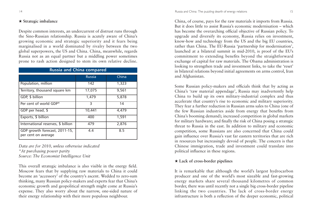#### ★ **Strategic imbalance**

Despite common interests, an undercurrent of distrust runs through the Sino-Russian relationship. Russia is acutely aware of China's growing economic and strategic superiority and it fears being marginalised in a world dominated by rivalry between the two global superpowers, the US and China. China, meanwhile, regards Russia not as an equal partner but a middling power sometimes prone to rash action designed to stem its own relative decline.

| <b>Russia and China compared</b>                     |               |       |  |  |  |
|------------------------------------------------------|---------------|-------|--|--|--|
|                                                      | <b>Russia</b> | China |  |  |  |
| Population, million                                  | 142           | 1,323 |  |  |  |
| Territory, thousand square km                        | 17,075        | 9,561 |  |  |  |
| GDP, \$ billion                                      | 1,479         | 5,878 |  |  |  |
| Per cent of world GDP*                               | 3             | 14    |  |  |  |
| GDP per head, \$                                     | 10,441        | 4,479 |  |  |  |
| Exports, \$ billion                                  | 400           | 1,591 |  |  |  |
| International reserves, \$ billion                   | 479           | 2,876 |  |  |  |
| GDP growth forecast, 2011-15,<br>per cent on average | 4.4           | 8.5   |  |  |  |

*Data are for 2010, unless otherwise indicated \*At purchasing power parity Source: The Economist Intelligence Unit*

This overall strategic imbalance is also visible in the energy field. Moscow fears that by supplying raw materials to China it could become an 'accessory' of the country's ascent. Wedded to zero-sum thinking, many Russian policy-makers and experts fear that China's economic growth and geopolitical strength might come at Russia's expense. They also worry about the narrow, one-sided nature of their energy relationship with their more populous neighbour.

China, of course, pays for the raw materials it imports from Russia. But it does little to assist Russia's economic modernisation – which has become the overarching official objective of Russian policy. To upgrade and diversify its economy, Russia relies on investment, know-how and technology from the US and the big EU countries, rather than China. The EU-Russia 'partnership for modernisation', launched at a bilateral summit in mid-2010, is proof of the EU's commitment to extending benefits beyond the straightforward exchange of capital for raw materials. The Obama administration is looking to strengthen trade and investment links, to take the 'reset' in bilateral relations beyond initial agreements on arms control, Iran and Afghanistan.

Some Russian policy-makers and officials think that by acting as China's 'raw material appendage', Russia may inadvertently help China to build up its own military-industrial complex and thus accelerate that country's rise to economic and military superiority. They fear a further reduction in Russian arms sales to China (one of the few Russian industries aside from energy that benefits from China's booming demand); increased competition in global markets for military hardware; and finally the risk of China posing a strategic threat to Russia in the east. In addition to military and economic competition, some Russians are also concerned that China could gain influence over Russia's vast far eastern territories that are rich in resources but increasingly devoid of people. The concern is that Chinese immigration, trade and investment could translate into political influence in these regions.

### ★ **Lack of cross-border pipelines**

It is remarkable that although the world's largest hydrocarbon producer and one of the world's most sizeable and fast-growing energy markets share several thousand kilometres of common border, there was until recently not a single big cross-border pipeline linking the two countries. The lack of cross-border energy infrastructure is both a reflection of the deeper economic, political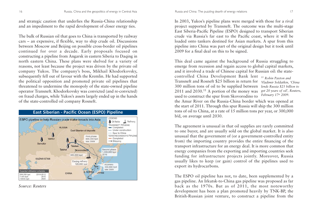and strategic caution that underlies the Russia-China relationship and an impediment to the rapid development of closer energy ties.

The bulk of Russian oil that goes to China is transported by railway cars – an expensive, if flexible, way to ship crude oil. Discussions between Moscow and Beijing on possible cross-border oil pipelines continued for over a decade. Early proposals focused on constructing a pipeline from Angarsk in eastern Siberia to Daqing in north eastern China. These plans were shelved for a variety of reasons, not least because the project was driven by the private oil company Yukos. The company's boss, Mikhail Khodorkovsky, subsequently fell out of favour with the Kremlin. He had supported the political opposition and promoted private oil pipelines that threatened to undermine the monopoly of the state-owned pipeline operator Transneft. Khodorkovsky was convicted (and re-convicted) on fraud charges, while Yukos's assets largely ended up in the hands of the state-controlled oil company Rosneft.



*Source: Reuters*

In 2003, Yukos's pipeline plans were merged with those for a rival project supported by Transneft. The outcome was the multi-stage East Siberia-Pacific Pipeline (ESPO) designed to transport Siberian crude via Russia's far east to the Pacific coast, where it will be loaded onto tankers destined for Asian markets. A spur from this pipeline into China was part of the original design but it took until 2009 for a final deal on this to be signed.

This deal came against the background of Russia struggling to emerge from recession and regain access to global capital markets, and it involved a trade of Chinese capital for Russian oil: the statecontrolled China Development Bank lent *<sup>11</sup> Robin Paxton and* Transneft and Rosneft \$25 billion in return for *Vladimir Soldatkin, 'China*

300 million tons of oil to be supplied between *lends Russia \$25 billion to* 2011 and 2030.11 A portion of the money was *get 20 years of oil', Reuters,* used to construct the spur from Skovorodino to

*February 17th 2009.*

the Amur River on the Russia-China border which was opened at the start of 2011. Through this spur Russia will ship the 300 million tons of oil to China, at a rate of 15 million tons per year, or 300,000 b/d, on average until 2030.

The agreement is unusual in that oil supplies are rarely committed to one buyer, and are usually sold on the global market. It is also unusual that the government of (or a government-controlled entity from) the importing country provides the entire financing of the transport infrastructure for an energy deal. It is more common that energy companies from the exporting and importing countries seek funding for infrastructure projects jointly. Moreover, Russia usually likes to keep (or gain) control of the pipelines used to export its hydrocarbons.

The ESPO oil pipeline has not, to date, been supplemented by a gas pipeline. An Irkutsk-to-China gas pipeline was proposed as far back as the 1970s. But as of 2011, the most noteworthy development has been a plan promoted heavily by TNK-BP, the British-Russian joint venture, to construct a pipeline from the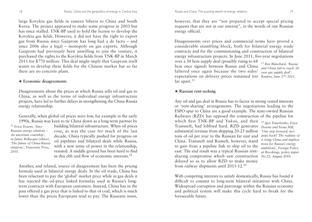large Kovykta gas fields in eastern Siberia to China and South Korea. The project appeared to make some progress in 2003 but has since stalled. TNK-BP used to hold the license to develop the Kovykta gas fields. However, it did not have the right to export gas from Russia since Gazprom has long had a de facto – and since 2006 also a legal – monopoly on gas exports. Although Gazprom had previously been unwilling to join the venture, it purchased the rights to the Kovykta fields from TNK-BP in March 2011 for \$770 million. This deal might imply that Gazprom itself wants to develop these fields for the Chinese market but so far there are no concrete plans.

#### ★ **Economic disagreements**

Disagreements about the prices at which Russia sells oil and gas to China, as well as the terms of individual energy infrastructure projects, have led to further delays in strengthening the China-Russia energy relationship.

Generally, when global oil prices were low, for example in the early 1990s, Russia was keen to tie China down as a long-term partner by

*<sup>12</sup> Erica Downs, 'Sino-Russian energy relations – An uncertain courtship', in James Bellacqua (editor), 'The future of China-Russia relations', University Press, 2010.*

building bilateral infrastructure. When oil prices rose, as was the case for much of the last decade, China typically pushed for progress on oil pipelines and bilateral deals while Russia, with a new sense of power in the relationship, resisted. A middle ground has been hard to find in this ebb and flow of economic interests.12

Another, and related, source of disagreement has been the pricing formula used in bilateral energy deals. In the oil trade, China has been reluctant to pay the 'global' market price while in gas deals it has rejected the oil-price linked formulas used in Russia's longterm contracts with European customers. Instead, China has in the past offered a gas price that is linked to that of coal, which is much lower than the prices Europeans tend to pay. The Russians insist,

however, that they are "not prepared to accept special pricing requests that are not in our interest", in the words of one Russian energy official.

Disagreements over prices and commercial terms have proved a considerable stumbling block, both for bilateral energy trade contracts and for the commissioning and construction of bilateral energy infrastructure projects. In June 2011, five-year negotiations over a 30 bcm supply deal (possibly rising to 68

bcm once signed) between Russia and China faltered once again because the two sides' expectations on delivery prices remained too Reuters, June 17<sup>th</sup> 2011. far apart.<sup>13</sup>

*<sup>13</sup> Ben Blanchard, 'Russia and China fail to reach 30 year gas supply deal',*

#### ★ **Russian rent-seeking**

Any oil and gas deal in Russia has to factor in strong vested interests or 'rent-sharing' arrangements. The negotiations leading to the ESPO spur to China are a good example. The state-owned Russian Railways (RZD) has opposed the construction of the pipeline for which first TNK-BP and Yukos, and then *<sup>14</sup> Igor Danchenko, Erica* Transneft, had lobbied hard. RZD generates substantial revenue from shipping 20-25 million tons of oil per year to the Russian far east and China. Transneft and Rosneft, however, stand to gain from a pipeline link to ship oil to the east. The end result was a typical Russian rentsharing compromise which saw construction *No.22, August 2010.*delayed so as to allow RZD to make money from railway shipments until 2011-12.14 *Downs and Fiona Hill, 'One step forward, two steps back? The realities of a rising China and implications for Russia's energy ambitions', Foreign Policy at Brookings, policy paper*

With competing interests to satisfy domestically, Russia has found it difficult to commit to long-term bilateral initiatives with China. Widespread corruption and patronage within the Russian economy and political system will make this cycle hard to break for the foreseeable future.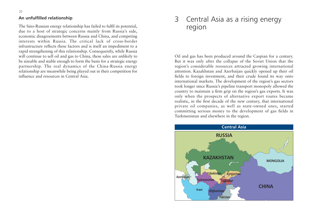#### **An unfulfilled relationship**

The Sino-Russian energy relationship has failed to fulfil its potential, due to a host of strategic concerns mainly from Russia's side, economic disagreements between Russia and China, and competing interests within Russia. The critical lack of cross-border infrastructure reflects these factors and is itself an impediment to a rapid strengthening of this relationship. Consequently, while Russia will continue to sell oil and gas to China, these sales are unlikely to be sizeable and stable enough to form the basis for a strategic energy partnership. The real dynamics of the China-Russia energy relationship are meanwhile being played out in their competition for influence and resources in Central Asia.

### 3 Central Asia as a rising energy region

Oil and gas has been produced around the Caspian for a century. But it was only after the collapse of the Soviet Union that the region's considerable resources attracted growing international attention. Kazakhstan and Azerbaijan quickly opened up their oil fields to foreign investment, and their crude found its way onto international markets. The development of the region's gas sectors took longer since Russia's pipeline transport monopoly allowed the country to maintain a firm grip on the region's gas exports. It was only when the prospects of alternative export routes became realistic, in the first decade of the new century, that international private oil companies, as well as state-owned ones, started committing serious money to the development of gas fields in Turkmenistan and elsewhere in the region.

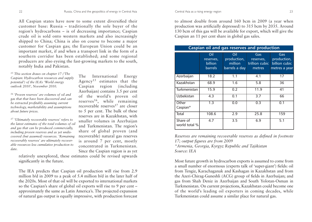All Caspian states have now to some extent diversified their customer base: Russia – traditionally the sole buyer of the region's hydrocarbons – is of decreasing importance; Caspian crude oil is sold onto western markets and also increasingly shipped to China; China is also on course to become a major customer for Caspian gas; the European Union could be an important market, if and when a transport link in the form of a southern corridor has been established; and some regional producers are also eyeing the fast-growing markets to the south, notably India and Pakistan.

*<sup>15</sup> This section draws on chapter 17 ('The Caspian: Hydrocarbon resources and supply potential') of the IEA's 'World energy outlook 2010', November 2010.*

*<sup>16</sup> 'Proven reserves' are volumes of oil and gas that that have been discovered and can be extracted profitably assuming current technology, marketability and assumptions about future prices.*

*<sup>17</sup> 'Ultimately recoverable reserves' refers to the latest estimates of the total volumes of oil and gas that can be produced commercially, including proven reserves and as yet undiscovered (but assumed) resources. 'Remaining recoverably reserves' are ultimately recoverable resources less cumulative production to date.*

The International Energy Agency<sup>15</sup> estimates that the Caspian region (including Azerbaijan) contains 3.5 per cent of the world's proven oil reserves<sup>16</sup>, while remaining recoverable reserves<sup>17</sup> are closer to 5 per cent. The bulk of these reserves are in Kazakhstan, with smaller volumes in Azerbaijan and Turkmenistan. The region's share of global proven (and recoverable) natural gas reserves is around 7 per cent, mostly concentrated in Turkmenistan. Since the Caspian region is as yet

relatively unexplored, these estimates could be revised upwards significantly in the future.

The IEA predicts that Caspian oil production will rise from 2.9 million b/d in 2009 to a peak of 5.4 million b/d in the later half of the 2020s. Most of that oil will be exported to international markets so the Caspian's share of global oil exports will rise to 9 per cent – approximately the same as Latin America's. The projected expansion of natural gas output is equally impressive, with production forecast

Central Asia as a rising energy region 23

to almost double from around 160 bcm in 2009 (a year when production was artificially depressed) to 315 bcm by 2035. Around 130 bcm of this gas will be available for export, which will give the Caspian an 11 per cent share in global gas sales.

| Caspian oil and gas reserves and production |                                        |                                                |                                                     |                                                      |  |  |  |
|---------------------------------------------|----------------------------------------|------------------------------------------------|-----------------------------------------------------|------------------------------------------------------|--|--|--|
|                                             | Oil<br>reserves,<br>billion<br>barrels | Oil<br>production,<br>million<br>barrels a day | Gas<br>reserves,<br>trillion cubic<br><b>metres</b> | Gas<br>production,<br>billion cubic<br>metres a year |  |  |  |
| Azerbaijan                                  | 18.2                                   | 1.1                                            | 4.1                                                 | 17                                                   |  |  |  |
| Kazakhstan                                  | 68.9                                   | 1.6                                            | 5.8                                                 | 36                                                   |  |  |  |
| Turkmenistan                                | 15.9                                   | 0.2                                            | 11.9                                                | 41                                                   |  |  |  |
| <b>Uzbekistan</b>                           | 4.3                                    | 0.1                                            | 3.7                                                 | 66                                                   |  |  |  |
| Other<br>Caspian*                           | $\overline{1.3}$                       | 0.0                                            | 0.3                                                 | 0.1                                                  |  |  |  |
| <b>Total</b>                                | 108.6                                  | 2.9                                            | 25.8                                                | 159                                                  |  |  |  |
| Share of<br>world total %                   | 4.7                                    | $\overline{3.5}$                               | 6.9                                                 | 5.1                                                  |  |  |  |

*Reserves are remaining recoverable reserves as defined in footnote 17; output figures are from 2009 \*Armenia, Georgia, Kyrgyz Republic and Tajikistan Source: IEA*

Most future growth in hydrocarbon exports is assumed to come from a small number of enormous (experts talk of 'super-giant') fields: oil from Tengiz, Karachaganak and Kashagan in Kazakhstan and from the Azeri-Chirag-Guneshli (ACG) group of fields in Azerbaijan; and gas from Shah Deniz in Azerbaijan and South Yolotan-Osman in Turkmenistan. On current projections, Kazakhstan could become one of the world's leading oil exporters in coming decades, while Turkmenistan could assume a similar place for natural gas.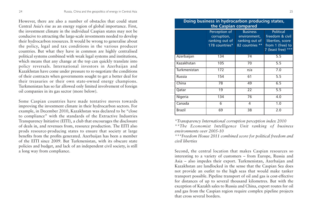However, there are also a number of obstacles that could stunt Central Asia's rise as an energy region of global importance. First, the investment climate in the individual Caspian states may not be conducive to attracting the large-scale investments needed to develop their hydrocarbon resources. It would be wrong to generalise about the policy, legal and tax conditions in the various producer countries. But what they have in common are highly centralised political systems combined with weak legal systems and institutions, which means that any change at the top can quickly translate into policy reversals. International investors in Azerbaijan and Kazakhstan have come under pressure to re-negotiate the conditions of their contracts when governments sought to get a better deal for their treasuries or their own state-owned energy champions. Turkmenistan has so far allowed only limited involvement of foreign oil companies in its gas sector (more below).

Some Caspian countries have made tentative moves towards improving the investment climate in their hydrocarbon sectors. For example, in December 2010, Kazakhstan was declared to be "close to compliance" with the standards of the Extractive Industries Transparency Initiative (EITI), a club that encourages the disclosure of deals in, and revenues from, resource production. The EITI also prods resource-producing states to ensure that society at large benefits from the profits generated. Azerbaijan has been a member of the EITI since 2009. But Turkmenistan, with its obscure state policies and budget, and lack of an independent civil society, is still a long way from compliance.

| Doing business in hydrocarbon producing states,<br>the Caspian compared |                                                                  |                                                                      |                                                                                                   |  |  |  |
|-------------------------------------------------------------------------|------------------------------------------------------------------|----------------------------------------------------------------------|---------------------------------------------------------------------------------------------------|--|--|--|
|                                                                         | Perception of<br>corruption,<br>ranking out of<br>178 countries* | <b>Business</b><br>environment,<br>ranking out of<br>82 countries ** | <b>Political</b><br>freedom & civil<br>liberties, score<br>from 1 (free) to<br>7 (least free) *** |  |  |  |
| Azerbaijan                                                              | 134                                                              | 74                                                                   | 5.5                                                                                               |  |  |  |
| Kazakhstan                                                              | 105                                                              | 70                                                                   | 5.5                                                                                               |  |  |  |
| Turkmenistan                                                            | 172                                                              | n/a                                                                  | 7.0                                                                                               |  |  |  |
| <b>Russia</b>                                                           | 154                                                              | 61                                                                   | 5.5                                                                                               |  |  |  |
| China                                                                   | 78                                                               | 49                                                                   | 6.5                                                                                               |  |  |  |
| Qatar                                                                   | 19                                                               | $\overline{22}$                                                      | 5.5                                                                                               |  |  |  |
| Nigeria                                                                 | 134                                                              | 76                                                                   | 4.0                                                                                               |  |  |  |
| Canada                                                                  | 6                                                                | 4                                                                    | 1.0                                                                                               |  |  |  |
| Brazil                                                                  | 69                                                               | 38                                                                   | 2.0                                                                                               |  |  |  |

*\*Transparency International corruption perception index 2010 \*\*The Economist Intelligence Unit ranking of business environments over 2005-10* 

*\*\*\*Freedom House 2011 combined score for political freedom and civil liberties*

Second, the central location that makes Caspian resources so interesting to a variety of customers – from Europe, Russia and Asia – also impedes their export. Turkmenistan, Azerbaijan and Kazakhstan are landlocked in the sense that the Caspian Sea does not provide an outlet to the high seas that would make tanker transport possible. Pipeline transport of oil and gas is cost-effective for distances of up to several thousand kilometres. But with the exception of Kazakh sales to Russia and China, export routes for oil and gas from the Caspian region require complex pipeline projects that cross several borders.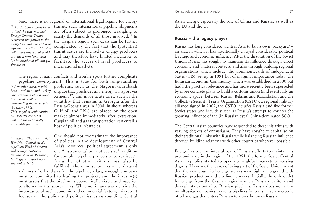Since there is no regional or international legal regime for energy

*<sup>18</sup> All Caspian nations have ratified the International Energy Charter Treaty. However, the parties to the treaty have not succeeded in agreeing on a 'transit protocol', a document that could provide a firm legal basis for international oil and gas shipments.* 

transit, such international pipeline shipments are often subject to prolonged wrangling to satisfy the demands of all those involved.<sup>18</sup> In the Caspian region such deals can be further complicated by the fact that the (potential) transit states are themselves energy producers and may therefore have limited incentives to facilitate the access of rival producers to international markets.

The region's many conflicts and trouble spots further complicate pipeline development. This is true for both long-standing

*<sup>19</sup> Armenia's borders with both Azerbaijan and Turkey have remained closed since the armed conflict surrounding the enclave in the early 1990s. This, together with continuous security concerns, makes Armenia wholly unsuitable for transit.* 

problems, such as the Nagorno-Karabakh dispute that precludes any energy transport via Armenia19, and more acute ones, such as the volatility that remains in Georgia after the Russia-Georgia war in 2008. In short, whereas Gulf oil and LNG are placed on the open market almost immediately after extraction, Caspian oil and gas transportation can entail a host of political obstacles.

*<sup>20</sup> Edward Chow and Leigh Hendrix, 'Central Asia's pipelines: Field of dreams and reality', National Bureau of Asian Research, NBR special report no 23, September 2010.*

One should not overestimate the importance of politics in the development of Central Asia's resources: political agreement is only one "instrumental but not decisive"condition for complex pipeline projects to be realised.<sup>20</sup> A number of other criteria must also be fulfilled: there must be major dedicated

volumes of oil and gas for the pipeline; a large-enough company must be committed to leading the project; and the investor(s) must assess that the pipeline is economically viable and superior to alternative transport routes. While not in any way denying the importance of such economic and commercial factors, this report focuses on the policy and political issues surrounding Central

Asian energy, especially the role of China and Russia, as well as the EU and the US.

#### **Russia – the legacy player**

Russia has long considered Central Asia to be its own 'backyard' – an area in which it has traditionally enjoyed considerable political leverage and economic influence. After the dissolution of the Soviet Union, Russia has sought to maintain its influence through direct economic and bilateral contacts, and also through building regional organisations which include: the Commonwealth of Independent States (CIS), set up in 1991 but of marginal importance today; the Eurasian Economic Community which was established in 2000 but had little practical relevance and has more recently been superseded by more concrete plans to build a customs union (and eventually an economic space) between Russia, Belarus and Kazakhstan; and the Collective Security Treaty Organisation (CSTO), a regional military alliance signed in 2002; the CSTO includes Russia and five former Soviet states and is widely seen as Russia's attempt to counter the growing influence of the (in Russian eyes) China-dominated SCO.

The Central Asian countries have responded to these initiatives with varying degrees of enthusiasm. They have sought to capitalise on their traditional links with Russia while balancing Russian influence through building relations with other countries wherever possible.

Energy has been an integral part of Russia's efforts to maintain its predominance in the region. After 1991, the former Soviet Central Asian republics started to open up to global markets to varying degrees. However, the legacy of being part of the Soviet Union meant that the new countries' energy sectors were tightly integrated with Russian production and pipeline networks. Initially, the only outlet for energy from the Caspian region was via Russian territory and through state-controlled Russian pipelines. Russia does not allow non-Russian companies to use its pipelines for transit: every molecule of oil and gas that enters Russian territory becomes Russian.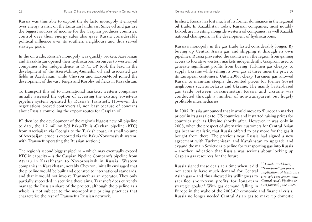Russia was thus able to exploit the de facto monopoly it enjoyed over energy transit on the Eurasian landmass. Since oil and gas are the biggest sources of income for the Caspian producer countries, control over their energy sales also gave Russia considerable political influence over its southern neighbours and thus served strategic goals.

In the oil trade, Russia's monopoly was quickly broken. Azerbaijan and Kazakhstan opened their hydrocarbon resources to western oil companies after independence in 1991. BP took the lead in the development of the Azeri-Chiraq-Guneshli oil and associated gas fields in Azerbaijan, while Chevron and ExxonMobil joined the development of the vast Tengiz and Korolev oil fields in Kazakhstan.

To transport this oil to international markets, western companies initially assessed the option of accessing the existing Soviet-era pipeline system operated by Russia's Transneft. However, the negotiations proved controversial, not least because of concerns about Russia controlling the export routes for Caspian oil.

BP then led the development of the region's biggest new oil pipeline to date, the 1.2 million b/d Baku-Tbilisi-Ceyhan pipeline (BTC) from Azerbaijan via Georgia to the Turkish coast. (A small volume of Azerbaijani crude is exported via the Baku-Novorossiysk system, with Transneft operating the Russian section.)

The region's second biggest pipeline – which may eventually exceed BTC in capacity – is the Caspian Pipeline Company's pipeline from Atyrau in Kazakhstan to Novorossiysk in Russia. Western companies in Kazakhstan, notably Chevron, initially envisaged that the pipeline would be built and operated to international standards, and that it would not involve Transneft as an operator. They only partially succeeded in securing these aims. Transneft does currently manage the Russian share of the project, although the pipeline as a whole is not subject to the monopolistic pricing practices that characterise the rest of Transneft's Russian network.

In short, Russia has lost much of its former dominance in the regional oil trade. In Kazakhstan today, Russian companies, most notably Lukoil, are investing alongside western oil companies, as well Kazakh national champions, in the development of hydrocarbons.

Russia's monopoly in the gas trade lasted considerably longer. By buying up Central Asian gas and shipping it through its own pipelines, Russia prevented the countries in the region from gaining access to lucrative western markets independently. Gazprom used to generate significant profits from buying Turkmen gas cheaply to supply Ukraine while selling its own gas at three times the price to its European customers. Until 2006, cheap Turkmen gas allowed Russia to maintain steeply discounted prices for former Soviet neighbours such as Belarus and Ukraine. The mainly barter-based gas trade between Turkmenistan, Russia and Ukraine was conducted through a number of non-transparent but hugely profitable intermediaries.

In 2005, Russia announced that it would move to 'European market prices' in its gas sales to CIS countries and it started raising prices for countries such as Ukraine shortly after. However, it was only in 2008, when the prospect of alternative customers for Central Asian gas became realistic, that Russia offered to pay more for the gas it bought from there. The previous year, Russia had signed a new agreement with Turkmenistan and Kazakhstan to upgrade and expand the main Soviet-era pipeline for transporting gas into Russia – another indication that Russia was serious about locking up Caspian gas resources for the future.

Russia signed these deals at a time when it did not actually have much demand for Central Asian gas – and thus showed its willingness to sacrifice short-term profits for long-term strategic goals.<sup>21</sup> With gas demand falling in Europe in the wake of the 2008-09 economic and financial crisis, Russia no longer needed Central Asian gas to make up domestic *<sup>21</sup> Danila Bochkarev, '"European" gas prices: Implications of Gazprom's strategic engagement with Central Asia', Pipeline & Gas Journal, June 2009.*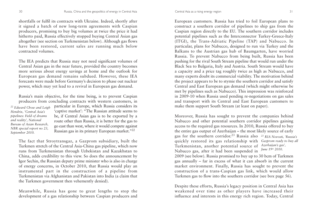shortfalls or fulfil its contracts with Ukraine. Indeed, shortly after it signed a batch of new long-term agreements with Caspian producers, promising to buy big volumes at twice the price it had hitherto paid, Russia effectively stopped buying Central Asian gas altogether (see section on Turkmenistan below). Although gas flows have been restored, current sales are running much below contracted volumes.

The IEA predicts that Russia may not need significant volumes of Central Asian gas in the near future, provided the country becomes more serious about energy savings at home and the outlook for European gas demand remains subdued. However, these IEA forecasts were made before Germany's decision to phase out nuclear power, which may yet lead to a revival in European gas demand.

Russia's main objective, for the time being, is to prevent Caspian producers from concluding contracts with western customers, in

*<sup>22</sup> Edward Chow and Leigh Hendrix, 'Central Asia's pipelines: Field of dreams and reality', National Bureau of Asian Research, NBR special report no 23, September 2010.*

particular in Europe, which Russia considers its 'captive market': "The Russian attitude seems to be, if Central Asian gas is to be exported by a route other than Russia, it is better for the gas to go east than west, where it would compete against Russian gas in its primary European market."22

The fact that Stroytransgaz, a Gazprom subsidiary, built the Turkmen stretch of the Central Asia-China gas pipeline, which now runs from Turkmenistan through Uzbekistan and Kazakhstan to China, adds credibility to this view. So does the announcement by Igor Sechin, the Russian deputy prime minister who is also in charge of energy concerns, in October 2010, that Russia would play an instrumental part in the construction of a pipeline from Turkmenistan via Afghanistan and Pakistan into India (a claim that the Turkmen government then vehemently denied).

Meanwhile, Russia has gone to great lengths to stop the development of a gas relationship between Caspian producers and

European customers. Russia has tried to foil European plans to construct a southern corridor of pipelines to ship gas from the Caspian region directly to the EU. The southern corridor includes potential pipelines such as the Interconnector Turkey-Greece-Italy (ITGI), the Trans-Adriatic Pipeline (TAP) and Nabucco. In particular, plans for Nabucco, designed to run via Turkey and the Balkans to the Austrian gas hub of Baumgarten, have worried Russia. To prevent Nabucco from being built, Russia has been pushing for the rival South Stream pipeline that would run under the Black Sea to Bulgaria, Italy and Austria. South Stream would have a capacity and a price tag roughly twice as high as Nabucco, and many experts doubt its commercial viability. The motivation behind the project appears to be to stymie the southern corridor and satisfy Central and East European gas demand (which might otherwise be met by pipelines such as Nabucco). This impression was reinforced in 2009-10 when Russia used pending re-negotiations on gas sales and transport with its Central and East European customers to make them support South Stream (at least on paper).

Moreover, Russia has sought to prevent the companies behind Nabucco and other potential southern corridor pipelines gaining access to the required gas resources. In 2010, Russia offered to buy the entire gas output of Azerbaijan – the most likely source of early gas for the southern corridor.<sup>23</sup> Russia also *<sup>23</sup> RIA Novosti, 'Russia's* quickly restored its gas relationship with *Gazprom ready to buy all* Turkmenistan, another potential source of *Azerbaijan's gas',*  Nabucco gas, after it had been suspended in <sup>June 19th</sup> 2010. 2009 (see below). Russia promised to buy up to 30 bcm of Turkmen

gas annually – far in excess of what it can absorb in the current market environment. Finally, Russia has sought to prevent the construction of a trans-Caspian gas link, which would allow Turkmen gas to flow into the southern corridor (see box page 56).

Despite these efforts, Russia's legacy position in Central Asia has weakened over time as other players have increased their influence and interests in this energy rich region. Today, Central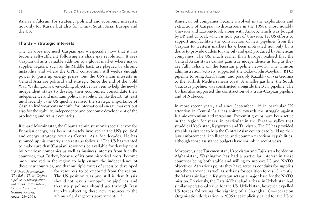Asia is a fulcrum for strategic, political and economic interests, not only for Russia but also for China, South Asia, Europe and the US.

#### **The US – strategic interests**

The US does not need Caspian gas – especially now that it has become self-sufficient following its shale gas revolution. It sees Caspian oil as a valuable addition to a global market where major supplier regions, such as the Middle East, are plagued by chronic instability and where the OPEC consortium still wields enough power to push up energy prices. But the US's main interests in Central Asia are political and strategic. Since the end of the Cold War, Washington's over-arching objective has been to help the newly independent states to develop their economies, consolidate their independence and maintain political stability. Unlike the EU (at least until recently), the US quickly realised the strategic importance of Caspian hydrocarbons not only for international energy markets but also for the stability, independence and economic development of the producing and transit countries.

Richard Morningstar, the Obama administration's special envoy for Eurasian energy, has been intimately involved in the US's political and energy strategy towards Central Asia for decades. He has summed up his country's interests as follows: "The US has wanted to make sure that [Caspian] resources be available for development by American companies as well as business interests from friendly countries; that Turkey, because of its own historical roots, become more involved in the region to help ensure the independence of these new countries; and that multiple routes of access be developed

*<sup>24</sup> Richard Morningstar, 'The Baku-Tbilisi-Ceyhan pipeline: A retrospective and a look at the future', Central Asia-Caucasus Institute Analyst, August 23rd 2006.* 

for resources to be exported from the region. The US position was and still is that Russia should not have a monopoly on pipelines, and that no pipelines should go through Iran thereby subjecting these new resources to the whims of a dangerous government."<sup>24</sup>

American oil companies became involved in the exploration and extraction of Caspian hydrocarbons in the 1990s, most notably Chevron and ExxonMobil, along with Amoco, which was bought by BP, and Unocal, which is now part of Chevron. Yet US efforts to support and facilitate the construction of new pipelines from the Caspian to western markets have been motivated not only by a desire to provide outlets for the oil (and gas) produced by American companies. The US, much earlier than Europe, realised that the Central Asian states cannot gain true independence as long as they are fully reliant on the Russian pipeline network. The Clinton administration actively supported the Baku-Tbilisi-Ceyhan (BTC) pipeline to bring Azerbaijani (and possibly Kazakh) oil via Georgia to the Turkish Mediterranean coast. A smaller gas line, the South Caucasus pipeline, was constructed alongside the BTC pipeline. The US has also supported the construction of a trans-Caspian pipeline and of Nabucco.

In more recent years, and since September 11<sup>th</sup> in particular, US attention in Central Asia has shifted towards the struggle against Islamic extremism and terrorism. Extremist groups have been active in the region for years, in particular in the Fergana valley that straddles Uzbekistan, Kyrgyzstan and Tajikistan. The US has provided sizeable assistance to help the Central Asian countries to build up their law enforcement, intelligence and counter-terrorism capabilities, although those assistance budgets have shrunk in recent years.

Moreover, since Turkmenistan, Uzbekistan and Tajikistan border on Afghanistan, Washington has had a particular interest in these countries being both stable and willing to support US and NATO objectives. At various points they have acted as conduits for supplies into the war-zone, as well as airbases for coalition forces. Currently, the Manas air base in Kyrgyzstan acts as a major base for the NATO mission. Previously, the Karshi-Khanabad airbase in Uzbekistan had similar operational value for the US. Uzbekistan, however, expelled US forces following the signing of a Shanghai Co-operation Organisation declaration in 2005 that implicitly called for the US to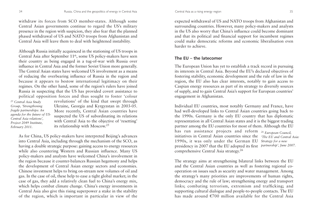withdraw its forces from SCO member-states. Although some Central Asian governments continue to regard the US's military presence in the region with suspicion, they also fear that the planned phased withdrawal of US and NATO troops from Afghanistan and Central Asia will leave them to deal with heightened instability.

Although Russia initially acquiesced in the stationing of US troops in Central Asia after September 11th, some US policy-makers have seen their country as being engaged in a tug-of-war with Russia over influence in Central Asia and the former Soviet Union more generally. The Central Asian states have welcomed US involvement as a means of reducing the overbearing influence of Russia in the region and because it appears to bestow international legitimacy on their regimes. On the other hand, some of the region's rulers have joined Russia in suspecting that the US has provided covert assistance to political opposition forces and thus sought to foster 'colour

*<sup>25</sup> Central Asia Study Group, 'Strengthening fragile partnerships: An agenda for the future of US-Central Asia relations', Project 2049 Institute, February 2011.* 

revolutions' of the kind that swept through Ukraine, Georgia and Kyrgyzstan in 2003-05. More recently, Central Asian countries have suspected the US of subordinating its relations with Central Asia to the objective of 'resetting' its relationship with Moscow.25

As for China, US policy-makers have interpreted Beijing's advances into Central Asia, including through the mechanism of the SCO, as having a double strategic purpose: gaining access to energy resources while also countering Western and Russian influence. Many US policy-makers and analysts have welcomed China's involvement in the region because it counter-balances Russian hegemony and helps the development of Central Asian energy sectors and economies. Chinese investment helps to bring on-stream new volumes of oil and gas. In the case of oil, these help to ease a tight global market; in the case of gas, they add a relatively clean fuel to China's energy mix, which helps combat climate change. China's energy investments in Central Asia also give this rising superpower a stake in the stability of the region, which is important in particular in view of the

expected withdrawal of US and NATO troops from Afghanistan and surrounding countries. However, many policy-makers and analysts in the US also worry that China's influence could become dominant and that its political and financial support for incumbent regimes could make democratic reforms and economic liberalisation even

#### **The EU – the latecomer**

harder to achieve.

The European Union has yet to establish a track record in pursuing its interests in Central Asia. Beyond the EU's declared objectives of fostering stability, economic development and the rule of law in the region, the EU also has clear interests, notably to gain access to Caspian energy resources as part of its strategy to diversify sources of supply, and to gain Central Asia's support for European countries' engagement in Afghanistan.

Individual EU countries, most notably Germany and France, have had well-developed links to Central Asian countries going back to the 1990s. Germany is the only EU country that has diplomatic representation in all Central Asian states and it is the biggest trading partner among the EU countries for most of them. Although the EU has run assistance projects and reform *<sup>26</sup> European Council,*  initiatives in Central Asian countries since the *'The EU and Central Asia:* 1990s, it was only under the German EU *Strategy for a new*  presidency in 2007 that the EU adopted its first *partnership', June 2007.* comprehensive Central Asia strategy.26

The strategy aims at strengthening bilateral links between the EU and the Central Asian countries as well as fostering regional cooperation on issues such as security and water management. Among the strategy's many priorities are improvements of human rights, democracy and the rule of law; strengthening energy and transport links; combating terrorism, extremism and trafficking; and supporting cultural dialogue and people-to-people contacts. The EU has made around  $\epsilon$ 700 million available for the Central Asia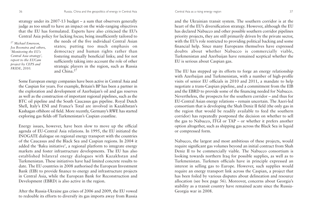strategy under its 2007-13 budget – a sum that observers generally judge as too small to have an impact on the wide-ranging objectives that the EU has formulated. Experts have also criticised the EU's Central Asia policy for lacking focus; being insufficiently tailored to

*<sup>27</sup> Michael Emerson, Jos Boonstra and others, 'Monitoring the EU's Central Asia strategy', report to the EUCam project by CEPS and FRIDE, 2010.*

the needs of the five individual Central Asian states; putting too much emphasis on democracy and human rights rather than fostering mutually beneficial links; and for not sufficiently taking into account the role of other strategic players in the region, such as Russia and China.<sup>27</sup>

Some European energy companies have been active in Central Asia and the Caspian for years. For example, Britain's BP has been a partner in the exploration and development of Azerbaijan's oil and gas reserves as well as the construction of important regional pipelines, such as the BTC oil pipeline and the South Caucasus gas pipeline. Royal Dutch Shell, Italy's ENI and France's Total are involved in Kazakhstan's Kashagan offshore oil field. More recently, Germany's RWE has started exploring gas fields off Turkmenistan's Caspian coastline.

Energy issues, however, have been slow to move up the official agenda of EU-Central Asia relations. In 1995, the EU initiated the INOGATE dialogue on regional energy transport with the countries of the Caucasus and the Black Sea and Caspian regions. In 2004 it added the 'Baku initiative', a regional platform to integrate energy markets and foster infrastructure developments. The EU has also established bilateral energy dialogues with Kazakhstan and Turkmenistan. These initiatives have had limited concrete results to date. The EU countries in 2008 authorised the European Investment Bank (EIB) to provide finance to energy and infrastructure projects in Central Asia, while the European Bank for Reconstruction and Development (EBRD) is also active in the region.

After the Russia-Ukraine gas crises of 2006 and 2009, the EU vowed to redouble its efforts to diversify its gas imports away from Russia

and the Ukrainian transit system. The southern corridor is at the heart of the EU's diversification strategy. However, although the EU has declared Nabucco and other possible southern corridor pipelines priority projects, they are still primarily driven by the private sector, with the EU's role restricted to providing political backing and some financial help. Since many Europeans themselves have expressed doubts about whether Nabucco is commercially viable, Turkmenistan and Azerbaijan have remained sceptical whether the EU is serious about Caspian gas.

The EU has stepped up its efforts to forge an energy relationship with Azerbaijan and Turkmenistan, with a number of high-profile visits of senior EU officials in 2010 and 2011, a mandate to help negotiate a trans-Caspian pipeline, and a commitment from the EIB and the EBRD to provide some of the financing needed for Nabucco. Nevertheless, the prospects for the southern corridor – and thus for EU-Central Asian energy relations – remain uncertain. The Azeri-led consortium that is developing the Shah Deniz II field (the only gas in the region that would be readily available to feed the southern corridor) has repeatedly postponed the decision on whether to sell the gas to Nabucco, ITGI or TAP – or whether it prefers another option altogether, such as shipping gas across the Black Sea in liquid or compressed form.

Nabucco, the largest and most ambitious of these projects, would require significant gas volumes beyond an initial contract from Shah Deniz II to be commercially viable. The Nabucco consortium is looking towards northern Iraq for possible supplies, as well as to Turkmenistan. Turkmen officials have in principle expressed an interest in selling gas to Europe. However, such supplies would require an energy transport link across the Caspian, a project that has been foiled by various disputes about delineation and resource allocation (see box page 56). Moreover, concerns about Georgia's stability as a transit country have remained acute since the Russia-Georgia war in 2008.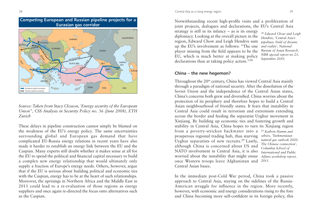



These delays in pipeline construction cannot simply be blamed on the weakness of the EU's energy policy. The same uncertainties surrounding global and European gas demand that have complicated EU-Russia energy relations in recent years have also made it harder to establish an energy link between the EU and the Caspian. Many experts still doubt whether it makes sense at all for the EU to spend the political and financial capital necessary to build a complex new energy relationship that would ultimately only supply a fraction of Europe's energy needs. Others, however, argue that if the EU is serious about building political and economic ties with the Caspian, energy has to be at the heart of such relationships. Moreover, the uprisings in Northern Africa and the Middle East in 2011 could lead to a re-evaluation of those regions as energy suppliers and once again re-directed the focus onto alternatives such as the Caspian.

Notwithstanding recent high-profile visits and a proliferation of joint projects, dialogues and declarations, the EU's Central Asia strategy is still in its infancy – as is its energy diplomacy. Looking at the overall picture in the region, Edward Chow and Leigh Hendrix sum up the EU's involvement as follows: "The one player missing from the field appears to be the EU, which is much better at making policy declarations than at taking policy action."28 *<sup>28</sup> Edward Chow and Leigh Hendrix, 'Central Asia's pipelines: Field of dreams and reality', National Bureau of Asian Research, NBR special report no 23, September 2010.*

#### **China – the new hegemon?**

Throughout the 20<sup>th</sup> century, China has viewed Central Asia mainly through a paradigm of national security. After the dissolution of the Soviet Union and the independence of the Central Asian states, China's concerns both grew and diversified. China worries about the protection of its periphery and therefore hopes to build a Central Asian neighbourhood of friendly states. It fears that instability in Central Asia could result in terrorism and extremism extending across the border and feeding the separatist Uyghur movement in Xinjiang. By building up economic ties and fostering growth and stability in Central Asia, China hopes to turn its Xinjiang region from a poverty-stricken backwater into a *<sup>29</sup> Kathrin Hamm and*  prosperous regional trading hub, thus starving Uyghur separatists of new recruits.29 Lastly, although China is concerned about US and NATO involvement in Central Asia, it is also worried about the instability that might ensue once Western troops leave Afghanistan and *2011.*Central Asian bases. *others, 'Turkmenistan natural gas outlook 2020: The Chinese connection', Columbia School of International and Public Affairs workshop report,*

In the immediate post-Cold War period, China took a passive approach to Central Asia, staying on the sidelines of the Russia-American struggle for influence in the region. More recently, however, with economic and energy considerations rising to the fore and China becoming more self-confident in its foreign policy, this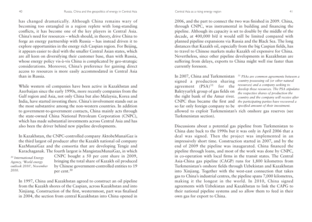has changed dramatically. Although China remains wary of becoming too entangled in a region replete with long-standing conflicts, it has become one of the key players in Central Asia. China's need for resources – which should, in theory, drive China to forge an energy partnership with Russia – has instead driven it to explore opportunities in the energy rich Caspian region. For Beijing, it appears easier to deal with the smaller Central Asian states, which are all keen on diversifying their customer base, than with Russia, whose energy policy vis-à-vis China is complicated by geo-strategic considerations. Moreover, China's preference for gaining direct access to resources is more easily accommodated in Central Asia than in Russia.

While western oil companies have been active in Kazakhstan and Azerbaijan since the early 1990s, more recently companies from the Gulf region and Asia, not only China but also Malaysia, Korea and India, have started investing there. China's involvement stands out as the most substantive among the non-western countries. In addition to government-to-government contacts, China mainly acts through the state-owned China National Petroleum Corporation (CNPC), which has made substantial investments across Central Asia and has also been the driver behind new pipeline developments.

In Kazakhstan, the CNPC-controlled company AktobeMunaiGaz is the third largest oil producer after the Kazakh national oil company KazMunaiGaz and the consortia that are developing Tengiz and Karachaganak. The fourth largest is MangistauMunaiGaz, in which

*<sup>30</sup> International Energy Agency, 'World energy outlook 2010', November 2010.* 

CNPC bought a 50 per cent share in 2009, bringing the total share of Kazakh oil produced by Chinese government-controlled entities to 19 per cent.<sup>30</sup>

In 1997, China and Kazakhstan agreed to construct an oil pipeline from the Kazakh shores of the Caspian, across Kazakhstan and into Xinjiang. Construction of the first, westernmost, part was finalised in 2004, the section from central Kazakhstan into China opened in

2006, and the part to connect the two was finished in 2009. China, through CNPC, was instrumental in building and financing the pipeline. Although its capacity is set to double by the middle of the decade, at 400,000 b/d it would still be limited compared with planned pipeline expansions via Russia and the Black Sea. The long distances that Kazakh oil, especially from the big Caspian fields, has to travel to Chinese markets make Kazakh oil expensive for China. Nevertheless, since other pipeline developments in Kazakhstan are suffering from delays, exports to China might well rise faster than currently foreseen.

In 2007, China and Turkmenistan *<sup>31</sup> PSAs are common agreements between a* signed a production sharing agreement  $(PSA)^{31}$  for the Baktyyarlyk group of gas fields on the right bank of the Amur river. CNPC thus became the first and so far only foreign company to be *specified amount of their investment.*Turkmenistan section).

*country possessing oil (or other natural resources) and a company seeking to develop these resources. The PSA stipulates the respective shares of production the country and the company will receive after the participating parties have recovered a* 

allowed to exploit Turkmenistan's rich onshore gas reserves (see

Discussions about a potential gas pipeline from Turkmenistan to China date back to the 1990s but it was only in April 2006 that a deal was signed. Then the project was implemented in an impressively short time. Construction started in 2007, and by the end of 2009 the pipeline was inaugurated. China financed the pipeline through loans, and most of the work was done by CNPC, in co-operation with local firms in the transit states. The Central Asia-China gas pipeline (CAGP) runs for 1,800 kilometres from Turkmenistan's onshore fields through Uzbekistan and Kazakhstan into Xinjiang. Together with the west-east connection that takes gas to China's industrial centres, the pipeline spans 7,000 kilometres, making it the longest in the world. In 2010, China signed agreements with Uzbekistan and Kazakhstan to link the CAPG to their national pipeline systems and so allow them to feed in their own gas for export to China.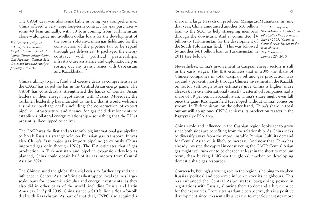The CAGP deal was also remarkable in being very comprehensive: China offered a very large long-term contract for gas purchases – some 40 bcm annually, with 30 bcm coming from Turkmenistan alone – alongside multi-billion dollar loans for the development of

*<sup>32</sup> Chemen Durdiyeva, 'China, Turkmenistan, Kazakhstan and Uzbekistan launch Turkmenistan-China Gas Pipeline,' Central Asia-Caucasus Institute Analyst, January 20th 2010.*

the South Yolotan-Osman gas fields and for the construction of the pipeline (all to be repaid through gas deliveries). It packaged the energy contract with political partnerships, infrastructure assistance and diplomatic help in sorting out any transit issues with Uzbekistan and Kazakhstan.<sup>32</sup>

China's ability to plan, fund and execute deals as comprehensive as the CAGP has raised the bar in the Central Asian energy game. The CAGP has considerably strengthened the hands of Central Asian leaders in their energy negotiations with Russia. Moreover, the Turkmen leadership has indicated to the EU that it would welcome a similar 'package deal' (including the construction of export pipeline infrastructure and finance for gas field development) to establish a bilateral energy relationship – something that the EU at present is ill-equipped to deliver.

The CAGP was the first and so far only big international gas pipeline to break Russia's stranglehold on Eurasian gas transport. It was also China's first major gas import pipeline (previously China imported gas only through LNG). The IEA estimates that if gas production in Turkmenistan and pipeline expansion develop as planned, China could obtain half of its gas imports from Central Asia by 2020.

The Chinese used the global financial crisis to further expand their influence in Central Asia, offering cash-strapped local regimes largescale loans for economic stimulus and energy investments (as they also did in other parts of the world, including Russia and Latin America). In April 2009, China signed a \$10 billion a 'loan-for-oil' deal with Kazakhstan. As part of that deal, CNPC also acquired a

Central Asia as a rising energy region 43

share in a large Kazakh oil producer, MangistauMunaiGaz. In June that year, China announced another \$10 billion *<sup>33</sup> Olzhas Auyezov,* loan to the SCO to help struggling members through the downturn. And it committed \$4 billion to Turkmenistan for the development of the South Yolotan gas field.33 This was followed by another \$4.1 billion loan to Turkmenistan in *The Economist,*  2011 (see below). *'Kazakhstan expands China oil pipeline link', Reuters, July 1st 2009. 'China in Central Asia: Riches in the near abroad', January 28th 2010.* 

Nevertheless, China's involvement in Caspian energy sectors is still in the early stages. The IEA estimates that in 2009 the share of Chinese companies in total Caspian oil and gas production was around 7 per cent, mostly through Chinese investment in the Kazakh oil sector (although other estimates give China a higher share already). Private international (mostly western) oil companies had a share of 38 per cent. In Kazakhstan, China's share might even fall once the giant Kashagan field (developed without China) comes on stream. In Turkmenistan, on the other hand, China's share in total output will go up once CNPC achieves its production targets in the Bagtyyarlyk PSA area.

China's role and influence in the Caspian region looks set to grow since both sides are benefiting from the relationship. As China seeks to diversify away from the more unstable Persian Gulf, its demand for Central Asian oil is likely to increase. And now that China has already invested the capital in constructing the CAGP, Central Asian gas might well turn out to be cheaper, at least in the short to medium term, than buying LNG on the global market or developing domestic shale gas resources.

Conversely, Beijing's growing role in the region is helping to weaken Russia's political and economic influence over its neighbours. This has enhanced the Central Asian states' bargaining power in negotiations with Russia, allowing them to demand a higher price for their resources. From a transatlantic perspective, this is a positive development since it essentially gives the former Soviet states more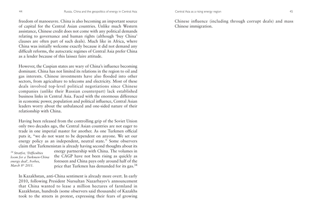freedom of manoeuvre. China is also becoming an important source of capital for the Central Asian countries. Unlike much Western assistance, Chinese credit does not come with any political demands relating to governance and human rights (although 'buy China' clauses are often part of such deals). Much like in Africa, where China was initially welcome exactly because it did not demand any difficult reforms, the autocratic regimes of Central Asia prefer China as a lender because of this laissez faire attitude.

However, the Caspian states are wary of China's influence becoming dominant. China has not limited its relations in the region to oil and gas interests. Chinese investments have also flooded into other sectors, from agriculture to telecoms and electricity. Most of these deals involved top-level political negotiations since Chinese companies (unlike their Russian counterpart) lack established business links in Central Asia. Faced with the enormous difference in economic power, population and political influence, Central Asian leaders worry about the unbalanced and one-sided nature of their relationship with China.

Having been released from the controlling grip of the Soviet Union only two decades ago, the Central Asian countries are not eager to trade in one imperial master for another. As one Turkmen official puts it, "we do not want to be dependent on anyone. We set our energy policy as an independent, neutral state." Some observers claim that Turkmenistan is already having second thoughts about its

*<sup>34</sup> Stratfor, 'Difficulties loom for a Turkmen-China energy deal', Forbes, March 8th 2011.* 

energy partnership with China. The volumes in the CAGP have not been rising as quickly as foreseen and China pays only around half of the price that Turkmen has demanded for its gas.34

In Kazakhstan, anti-China sentiment is already more overt. In early 2010, following President Nursultan Nazarbayev's announcement that China wanted to lease a million hectares of farmland in Kazakhstan, hundreds (some observers said thousands) of Kazakhs took to the streets in protest, expressing their fears of growing

Central Asia as a rising energy region 45

Chinese influence (including through corrupt deals) and mass Chinese immigration.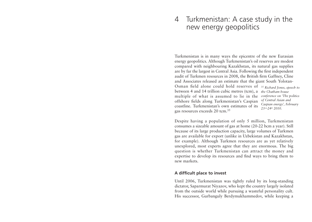### 4 Turkmenistan: A case study in the new energy geopolitics

Turkmenistan is in many ways the epicentre of the new Eurasian energy geopolitics. Although Turkmenistan's oil reserves are modest compared with neighbouring Kazakhstan, its natural gas supplies are by far the largest in Central Asia. Following the first independent audit of Turkmen resources in 2008, the British firm Gaffney, Cline and Associates released an estimate that the giant South Yolotan-Osman field alone could hold reserves of *<sup>35</sup> Richard Jones, speech to* between 4 and 14 trillion cubic metres (tcm), a *the Chatham house*  multiple of what is assumed to lie in the *conference on 'The politics* offshore fields along Turkmenistan's Caspian coastline. Turkmenistan's own estimates of its gas resources exceeds 20 tcm.35 *of Central Asian and 23rd-24th 2010.* 

*Caspian energy', February*

Despite having a population of only 5 million, Turkmenistan consumes a sizeable amount of gas at home (20-22 bcm a year). Still because of its large production capacity, large volumes of Turkmen gas are available for export (unlike in Uzbekistan and Kazakhstan, for example). Although Turkmen resources are as yet relatively unexplored, most experts agree that they are enormous. The big question is whether Turkmenistan can attract the money and expertise to develop its resources and find ways to bring them to new markets.

#### **A difficult place to invest**

Until 2006, Turkmenistan was tightly ruled by its long-standing dictator, Saparmurat Niyazov, who kept the country largely isolated from the outside world while pursuing a wasteful personality cult. His successor, Gurbanguly Berdymukhammedov, while keeping a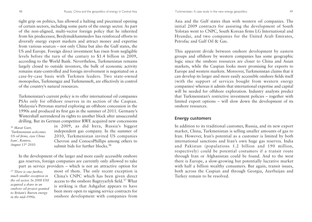tight grip on politics, has allowed a halting and piecemeal opening of certain sectors, including some parts of the energy sector. As part of the non-aligned, multi-vector foreign policy that he inherited from his predecessor, Berdymukhammedov has reinforced efforts to diversify energy export markets and attract money and expertise from various sources – not only China but also the Gulf states, the US and Europe. Foreign direct investment has risen from negligible levels before the turn of the century to \$1.4 billion in 2009, according to the World Bank. Nevertheless, Turkmenistan remains largely closed to outside investors, the bulk of economic activity remains state-controlled and foreign involvement is negotiated on a case-by-case basis with Turkmen leaders. Two state-owned monopolies, Turkmengaz and Turkmenneft, are effectively in control of the country's natural resources.

Turkmenistan's current policy is to offer international oil companies PSAs only for offshore reserves in its section of the Caspian. Malaysia's Petronas started exploring an offshore concession in the 1990s and produced its first gas in the summer of 2011. Germany's Wintershall surrendered its rights to another block after unsuccessful drilling. But its German competitor RWE acquired new concessions

*<sup>36</sup> Marat Gurt, 'Turkmenistan welcomes US oil firms, eyes China loan', Reuters, August 13th 2010.* 

in 2009, as did Itera, Russia's biggest independent gas company. In the summer of 2010, Turkmenistan invited US companies Chevron and ConocoPhillips among others to submit bids for further blocks.<sup>36</sup>

In the development of the larger and more easily accessible onshore gas reserves, foreign companies are currently only allowed to take part as service providers – which is not an attractive option for

*<sup>37</sup> There is one further, much smaller exception in the oil sector. In 2008 ENI acquired a share in an onshore oil project granted to Britain's Burren energy in the mid-1990s.* 

most of them. The only recent exception is China's CNPC which has been given direct access to the onshore Bagtyyarlyk field.<sup>37</sup> What is striking is that Ashgabat appears to have been more open to signing service contracts for onshore development with companies from

Asia and the Gulf states than with western oil companies. The initial 2009 contracts for assisting the development of South Yolotan went to CNPC, South Korean firms LG International and Hyundai, and two companies for the United Arab Emirates, Petrofac and Gulf Oil & Gas.

This apparent divide between onshore development by eastern groups and offshore by western companies has some geographic logic since the onshore resources are closer to China and Asian markets, while the Caspian looks more promising for exports to Europe and western markets. Moreover, Turkmenistan claims that it can develop its larger and more easily accessible onshore fields itself (with the support of services bought from western energy companies) whereas it admits that international expertise and capital will be needed for offshore exploration. Industry analysts predict that Turkmenistan's restrictive investment policies – together with limited export options – will slow down the development of its onshore resources.

#### **Energy customers**

In addition to its traditional customer, Russia, and its new export market, China, Turkmenistan is selling smaller amounts of gas to Iran. However, Iran's potential as a customer is limited by both international sanctions and Iran's own huge gas reserves. India and Pakistan (populations 1.2 billion and 190 million, respectively) could be potential costumers if a transit route through Iran or Afghanistan could be found. And to the west there is Europe, a slow-growing but potentially lucrative market with half a billion wealthy consumers. But again, transit issues, both across the Caspian and through Georgia, Azerbaijan and Turkey remain to be resolved.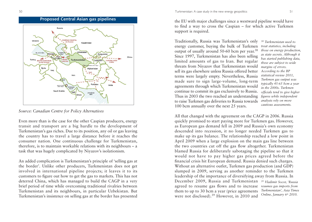

*Source: Canadian Centre for Policy Alternatives*

Even more than is the case for the other Caspian producers, energy transit and transport are a big hurdle to the development of Turkmenistan's gas riches. Due to its position, any oil or gas leaving the country has to travel a large distance before it reaches the consumer nation. One continuous challenge for Turkmenistan, therefore, is to maintain workable relations with its neighbours – a task that was hugely complicated by Niyazov's isolationism.

An added complication is Turkmenistan's principle of 'selling gas at the border'. Unlike other producers, Turkmenistan does not get involved in international pipeline projects; it leaves it to its customers to figure out how to get the gas to markets. This has not deterred China, which has managed to build the CAGP in a very brief period of time while overcoming traditional rivalries between Turkmenistan and its neighbours, in particular Uzbekistan. But Turkmenistan's insistence on selling gas at the border has presented

**Proposed Central Asian gas pipelines** the EU with major challenges since a westward pipeline would have to find a way to cross the Caspian – for which active Turkmen support is required.

> Traditionally, Russia was Turkmenistan's only energy customer, buying the bulk of Turkmen output of usually around 50-60 bcm per year.38 Since 1997, Turkmenistan has also been selling limited amounts of gas to Iran. But regular threats from Niyazov that Turkmenistan would sell its gas elsewhere unless Russia offered better terms were largely empty. Nevertheless, Russia made sure to sign large-volume, long-term agreements through which Turkmenistan would continue to commit its gas exclusively to Russia. Thus in 2003 the two reached an understanding to raise Turkmen gas deliveries to Russia towards 100 bcm annually over the next 25 years.

*<sup>38</sup> Turkmenistan used to treat statistics, including those on energy production, as state secrets. Although it has started publishing data, these are subject to wide margins of errors. According to the BP statistical review 2011, Turkmen gas output was typically 45-65 bcm a year in the 2000s. Turkmen officials tend to give higher figures while independent analysts rely on more cautious assessments.* 

All that changed with the agreement on the CAGP in 2006. Russia quickly promised to start paying more for Turkmen gas. However, as European gas demand fell in 2009 and Russia's own economy descended into recession, it no longer needed Turkmen gas to make up its gas balance. The relationship reached a low point in April 2009 when a large explosion on the main gas line between the two countries cut off the gas flow altogether. Turkmenistan blamed Russia for deliberately sabotaging the pipeline so that it would not have to pay higher gas prices agreed before the financial crisis hit European demand. Russia denied such charges. Without an alternative outlet, Turkmen gas production (and GDP) slumped in 2009, serving as another reminder to the Turkmen leadership of the importance of diversifying away from Russia. In December 2009, Russia and Turkmenistan *<sup>39</sup> Vladimir Socor, 'Russia* agreed to resume gas flows and to increase *resumes gas imports from* them to up to 30 bcm a year (price agreements were not disclosed).<sup>39</sup> However, in 2010 and *Turkmenistan', Asia Times Online, January 6th 2010.*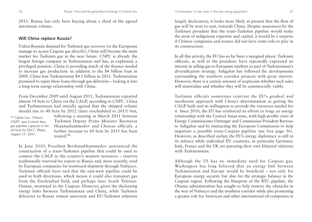2011, Russia has only been buying about a third of the agreed maximum volume.

#### **Will China replace Russia?**

Unless Russian demand for Turkmen gas recovers (or the Europeans manage to access Caspian gas directly), China will become the main market for Turkmen gas in the near future. CNPC is already the largest foreign company in Turkmenistan and has, as explained, a privileged position. China is providing much of the finance needed to increase gas production: in addition to the \$4 billion loan in 2009, China lent Turkmenistan \$4.1 billion in 2011. Turkmenistan promised to repay these loans through gas deliveries – locking it into a long-term energy relationship with China.

From December 2009 until August 2011, Turkmenistan exported almost 14 bcm to China via the CAGP, according to CNPC. China and Turkmenistan had initially agreed that the shipped volume should rise to 40 bcm by 2012 (later rescheduled to 2015) but,

*<sup>40</sup> Calvin Lee, 'China's CNPC says Central Asia gas pipeline capacity to hit 60 bcm by 2015', Platts, August 31st 2011.* 

following a meeting in March 2011 between Turkmen Deputy Prime Minister Baymyrat Hojamuhammedov and Chinese officials, a further increase to 60 bcm by 2015 has been touted.<sup>40</sup>

In June 2010, President Berdimukhammedov announced the construction of a trans-Turkmen pipeline that could be used to connect the CAGP to the country's western resources – reserves traditionally reserved for export to Russia and, more recently, eyed by European companies for westward shipment through Nabucco. Turkmen officials have said that the east-west pipeline could be used in both directions, which means it could also transport gas from the Dauletabad field, and perhaps later South Yolotan-Osman, westward to the Caspian. However, given the thickening energy links between Turkmenistan and China, while Turkmen deliveries to Russia remain uncertain and EU-Turkmen relations

largely declaratory, it looks more likely at present that the flow of gas will be west to east, towards China. Despite assurances by the Turkmen president that the trans-Turkmen pipeline would make the most of indigenous expertise and capital, it would be a surprise if Chinese companies and money did not have some role to play in its construction.

In all this activity, the EU has so far been a marginal player. Turkmen officials, as well as the president, have repeatedly expressed an interest in selling gas to European markets as part of Turkmenistan's diversification strategy. Ashgabat has followed the developments surrounding the southern corridor projects with great interest. However, there is a certain amount of scepticism whether such sales will materialise and whether they will be commercially viable.

Turkmen officials sometimes contrast the EU's gradual and incoherent approach with China's determination in getting the CAGP built and its willingness to provide the resources needed for it. Since 2010, the EU has reinforced its efforts to forge an energy relationship with the Central Asian state, with high-profile visits of Energy Commissioner Oettinger and Commission President Barroso to Ashgabat and by instructing the European Commission to help negotiate a possible trans-Caspian pipeline (see box page 56). However, as described earlier, the EU's energy diplomacy is still in its infancy while individual EU countries, in particular Germany, Italy, France and the UK are pursuing their own bilateral relations with Turkmenistan.

Although the US has no immediate need for Caspian gas, Washington has long believed that an energy link between Turkmenistan and Europe would be beneficial – not only for European energy security but also for the strategic balance in the Caspian region. Following the blueprint of the BTC pipeline, the Obama administration has sought to help remove the obstacles in the way of Nabucco and the southern corridor while also promoting a greater role for American and other international oil companies in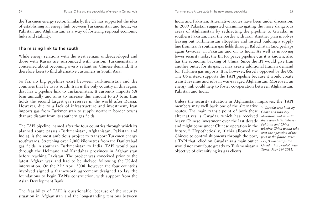the Turkmen energy sector. Similarly, the US has supported the idea of establishing an energy link between Turkmenistan and India, via Pakistan and Afghanistan, as a way of fostering regional economic links and stability.

#### **The missing link to the south**

While energy relations with the west remain underdeveloped and those with Russia are surrounded with tension, Turkmenistan is concerned about becoming overly reliant on Chinese demand. It is therefore keen to find alternative customers in South Asia.

So far, no big pipelines exist between Turkmenistan and the countries that lie to its south. Iran is the only country in this region that has a pipeline link to Turkmenistan. It currently imports 5.8 bcm annually and aims to increase this amount to 20 bcm. Iran holds the second largest gas reserves in the world after Russia. However, due to a lack of infrastructure and investment, Iran imports gas from Turkmenistan to supply northern border towns that are distant from its southern gas fields.

The TAPI pipeline, named after the four countries through which its planned route passes (Turkmenistan, Afghanistan, Pakistan and India), is the most ambitious project to transport Turkmen energy southwards. Stretching over 2,000 kilometres from the Dauletabad gas fields in southern Turkmenistan to India, TAPI would pass through the Helmand and Kandahar provinces in Afghanistan before reaching Pakistan. The project was conceived prior to the latest Afghan war and had to be shelved following the US-led intervention. On the  $25<sup>th</sup>$  April 2008, however, the four countries involved signed a framework agreement designed to lay the foundations to begin TAPI's construction, with support from the Asian Development Bank.

The feasibility of TAPI is questionable, because of the security situation in Afghanistan and the long-standing tensions between

India and Pakistan. Alternative routes have been under discussion. In 2009 Pakistan suggested circumnavigating the more dangerous areas of Afghanistan by redirecting the pipeline to Gwadar in southern Pakistan, near the border with Iran. Another plan involves leaving out Turkmenistan altogether and instead building a supply line from Iran's southern gas fields through Baluchistan (and perhaps again Gwadar) in Pakistan and on to India. As well as involving fewer security risks, the IPI (or peace pipeline), as it is known, also has the economic backing of China. Since the IPI would give Iran another outlet for its gas, it may create additional Iranian demand for Turkmen gas imports. It is, however, fiercely opposed by the US. The US instead supports the TAPI pipeline because it would create transit revenue and jobs in war-ravaged Afghanistan. Moreover, an energy link could help to foster co-operation between Afghanistan, Pakistan and India.

Unless the security situation in Afghanistan improves, the TAPI members may well back one of the alternative *<sup>41</sup> Gwadar was built by* routes. The main transit point of both these *China as a turn-key*  alternatives is Gwadar, which has received heavy Chinese investment over the last decade and might come under Chinese operation in the future. $41$  Hypothetically, if this allowed the Chinese to control shipments through the port, a TAPI that relied on Gwadar as a main outlet would not contribute greatly to Turkmenistan's objective of diversifying its gas clients.

*operation, and in 2011 there were talks between Pakistan and China whether China would take over the operation of the port in the future. Peter Lee, 'China drops the Gwadar hot potato', Asia Times, May 28th 2011.*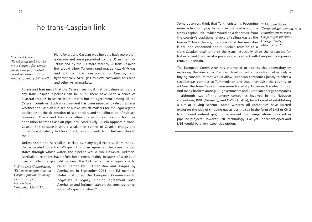Some observers think that Turkmenistan is becoming more active in trying to remove the obstacles to a trans-Caspian link – which would be a departure from the country's traditional stance of selling gas at the border.<sup>44</sup> Nevertheless, it appears that Turkmenistan is still too concerned about Russia's reaction to a

*<sup>44</sup> Vladimir Socor, 'Turkmenistan demonstrates commitment to trans-Caspian gas pipeline', Georgia Daily, March 9th 2011.* 

trans-Caspian deal to force the issue, especially since the prospects for Nabucco and the size of a possible gas contract with European companies remain uncertain.

The European Commission has attempted to address this uncertainty by exploring the idea of a 'Caspian development corporation', effectively a buying consortium that would allow European companies jointly to offer a sizeable gas contract to Turkmenistan and thus incentivise the country to address the trans-Caspian issue more forcefully. However, the idea did not find many backers among EU governments and European energy companies – although two of the energy companies involved in the Nabucco consortium, RWE (Germany) and OMV (Austria), have looked at establishing a similar buying scheme. Some western oil companies have started exploring the idea of shipping gas across the sea in the form of LNG or CNG (compressed natural gas) to circumvent the complications involved in pipeline projects. However, CNG technology is as yet underdeveloped and LNG would be a very expensive option.

*<sup>42</sup> Robert Cutler, 'Kazakhstan looks at the trans-Caspian for Tengiz gas to Europe', Central Asia-Caucasus Institute Analyst, January 28th 2009.* 

Plans for a trans-Caspian pipeline date back more than a decade and were promoted by the US in the mid-1990s and by the EU more recently. A trans-Caspian link would allow Turkmen (and maybe Kazakh $42$ ) gas and oil to flow westwards to Europe; and hypothetically Azeri gas to flow eastwards to China and other Asian markets.

Russia and Iran insist that the Caspian sea must first be delineated before any trans-Caspian pipelines can be built. There have been a series of bilateral treaties between littoral states but no agreement among all the Caspian countries. Such an agreement has been impeded by disputes over whether the Caspian is a sea or a lake, which matters for the legal regime applicable to the delineation of sea borders and the allocation of sub-sea resources. Russia and Iran also often cite ecological reasons for their opposition to trans-Caspian pipelines. More likely, Russia opposes a trans-Caspian link because it would weaken its control of Caspian energy and undermine its ability to block direct gas shipments from Turkmenistan to the EU.

Turkmenistan and Azerbaijan, backed by many legal experts, claim that all that is needed for a trans-Caspian link is an agreement between the two states through whose waters the pipeline would run. However, Turkmen-Azerbaijani relations have often been tense, mainly because of a dispute over an off-shore gas field between the Turkmen and Azerbaijani coasts,

*<sup>43</sup> European Commission, 'EU starts negotiations on Caspian pipeline to bring gas to Europe', press release, September 12th 2011.* 

called Serdar by Turkmenistan and Kyapaz by Azerbaijan. In September 2011, the EU memberstates instructed the European Commission to negotiate a legally binding agreement with Azerbaijan and Turkmenistan on the construction of a trans-Caspian pipeline.<sup>43</sup>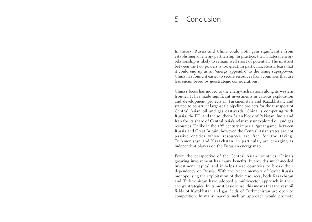### 5 Conclusion

In theory, Russia and China could both gain significantly from establishing an energy partnership. In practice, their bilateral energy relationship is likely to remain well short of potential. The mistrust between the two powers is too great. In particular, Russia fears that it could end up as an 'energy appendix' to the rising superpower. China has found it easier to secure resources from countries that are less encumbered by geostrategic considerations.

China's focus has moved to the energy-rich nations along its western frontier. It has made significant investments in various exploration and development projects in Turkmenistan and Kazakhstan, and started to construct large-scale pipeline projects for the transport of Central Asian oil and gas eastwards. China is competing with Russia, the EU, and the southern Asian block of Pakistan, India and Iran for its share of Central Asia's relatively unexplored oil and gas resources. Unlike in the 19th century imperial 'great game' between Russia and Great Britain, however, the Central Asian states are not passive entities whose resources are free for the taking. Turkmenistan and Kazakhstan, in particular, are emerging as independent players on the Eurasian energy map.

From the perspective of the Central Asian countries, China's growing involvement has many benefits. It provides much-needed investment capital and it helps these countries to break their dependency on Russia. With the recent memory of Soviet Russia monopolising the exploitation of their resources, both Kazakhstan and Turkmenistan have adopted a multi-vector approach in their energy strategies. In its most basic sense, this means that the vast oil fields of Kazakhstan and gas fields of Turkmenistan are open to competition. In many markets such an approach would promote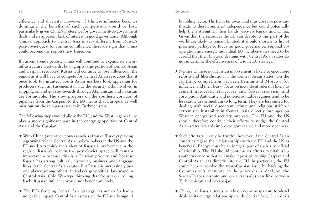efficiency and diversity. However, if Chinese influence becomes dominant, the benefits of such competition would be lost, particularly given China's preference for government-to-government deals and its apparent lack of interest in good governance. Although China's approach to Central Asia is very different from Russia's post-Soviet quest for continued influence, there are signs that China could become the region's new hegemon.

If current trends persist, China will continue to expand its energy infrastructure westwards, buying up a large portion of Central Asian and Caspian resources. Russia will continue to lose influence in the region as it will have to compete for Central Asian resources that it once took for granted. South Asian markets look appealing for producers such as Turkmenistan but the security risks involved in shipping oil and gas southwards through Afghanistan and Pakistan are formidable. The slow progress on the southern corridor of pipelines from the Caspian to the EU means that Europe may well miss out on the rich gas reserves in Turkmenistan.

The following steps would allow the EU, and the West in general, to play a more significant part in the energy geopolitics of Central Asia and the Caspian.

- ★ With China (and other powers such as Iran or Turkey) playing a growing role in Central Asia, policy-makers in the US and the EU need to rethink their view of Russia's involvement in the region. Russia's role in the post-Soviet space will remain important – because this is a Russian priority and because Russia has strong cultural, historical, business and language links to the Central Asian states. But Russia is increasingly just one player among others. In today's geopolitical landscape in Central Asia, Cold War-type thinking that focuses on 'rolling back' Russian influence would not benefit anybody.
- ★ The EU's fledgling Central Asia strategy has not so far had a noticeable impact. Central Asian states see the EU as a benign (if

bumbling) actor. The EU is far away, and thus does not pose any threats to these countries' independence but could potentially help them strengthen their hands vis-à-vis Russia and China. Given that the resources the EU can devote to this part of the world are likely to remain limited, it should shorten its list of priorities, perhaps to focus on good governance, regional cooperation and energy. Individual EU member-states need to be careful that their bilateral dealings with Central Asian states do not undermine the effectiveness of a joint EU strategy.

- ★ Neither Chinese nor Russian involvement is likely to encourage reform and liberalisation in the Central Asian states. On the contrary, competition between Beijing and Moscow for influence, and their heavy focus on incumbent rulers, is likely to cement autocratic structures and foster cronyism and corruption. Autocratic and non-accountable regimes tend to be less stable in the medium to long term. They are less suited for dealing with social discontent, ethnic and religious strife or extremism. Instability in Central Asia directly impinges on Western energy and security interests. The EU and the US should therefore continue their efforts to nudge the Central Asian states towards improved governance and more openness.
- ★ Such efforts will only be fruitful, however, if the Central Asian countries regard their relationships with the EU and the US as beneficial. Energy must be an integral part of such a beneficial relationship. The EU should continue its efforts to establish a southern corridor that will make it possible to ship Caspian and Central Asian gas directly into the EU. In particular, the EU could help to resolve the trans-Caspian issue by backing the Commission's mandate to help broker a deal on the Serdar/Kyapaz dispute and on a trans-Caspian link between Turkmenistan and Azerbaijan.
- ★ China, like Russia, tends to rely on non-transparent, top-level deals in its energy relationships with Central Asia. Such deals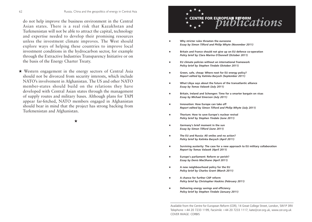do not help improve the business environment in the Central Asian states. There is a real risk that Kazakhstan and Turkmenistan will not be able to attract the capital, technology and expertise needed to develop their promising resources unless the investment climate improves. The West should explore ways of helping these countries to improve local investment conditions in the hydrocarbon sector, for example through the Extractive Industries Transparency Initiative or on the basis of the Energy Charter Treaty.

★ Western engagement in the energy sectors of Central Asia should not be divorced from security interests, which include NATO's involvement in Afghanistan. The US and other NATO member-states should build on the relations they have developed with Central Asian states through the management of supply routes and military bases. Although plans for TAPI appear far-fetched, NATO members engaged in Afghanistan should bear in mind that the project has strong backing from Turkmenistan and Afghanistan.

★



- Why stricter rules threaten the eurozone *Essay by Simon Tilford and Philip Whyte (November 2011)*
- Britain and France should not give up on EU defence co-operation *Policy brief by Clara Marina O'Donnell (October 2011)*
- ★ **EU climate policies without an international framework** *Policy brief by Stephen Tindale (October 2011)*
- ★ **Green, safe, cheap: Where next for EU energy policy?** *Report edited by Katinka Barysch (September 2011)*
- ★ **What Libya says about the future of the transatlantic alliance** *Essay by Tomas Valasek (July 2011)*
- Britain, Ireland and Schengen: Time for a smarter bargain on visas *Essay by Michael Emerson (July 2011)*
- **Innovation: How Europe can take off** *Report edited by Simon Tilford and Philip Whyte (July 2011)*
- ★ **Thorium: How to save Europe's nuclear revival**  *Policy brief by Stephen Tindale (June 2011)*
- ★ **Germany's brief moment in the sun**  *Essay by Simon Tilford (June 2011)*
- ★ **The EU and Russia: All smiles and no action?**  *Policy brief by Katinka Barysch (April 2011)*
- ★ **Surviving austerity: The case for a new approach to EU military collaboration**  *Report by Tomas Valasek (April 2011)*
- ★ **Europe's parliament: Reform or perish?**  *Essay by Denis MacShane (April 2011)*
- ★ **A new neighbourhood policy for the EU**  *Policy brief by Charles Grant (March 2011)*
- ★ **A chance for further CAP reform**  *Policy brief by Christopher Haskins (February 2011)*
- **Delivering energy savings and efficiency** *Policy brief by Stephen Tindale (January 2011)*

Available from the Centre for European Reform (CER), 14 Great College Street, London, SW1P 3RX Telephone +44 20 7233 1199, Facsimile +44 20 7233 1117, kate@cer.org.uk, www.cer.org.uk COVER IMAGE: CORBIS